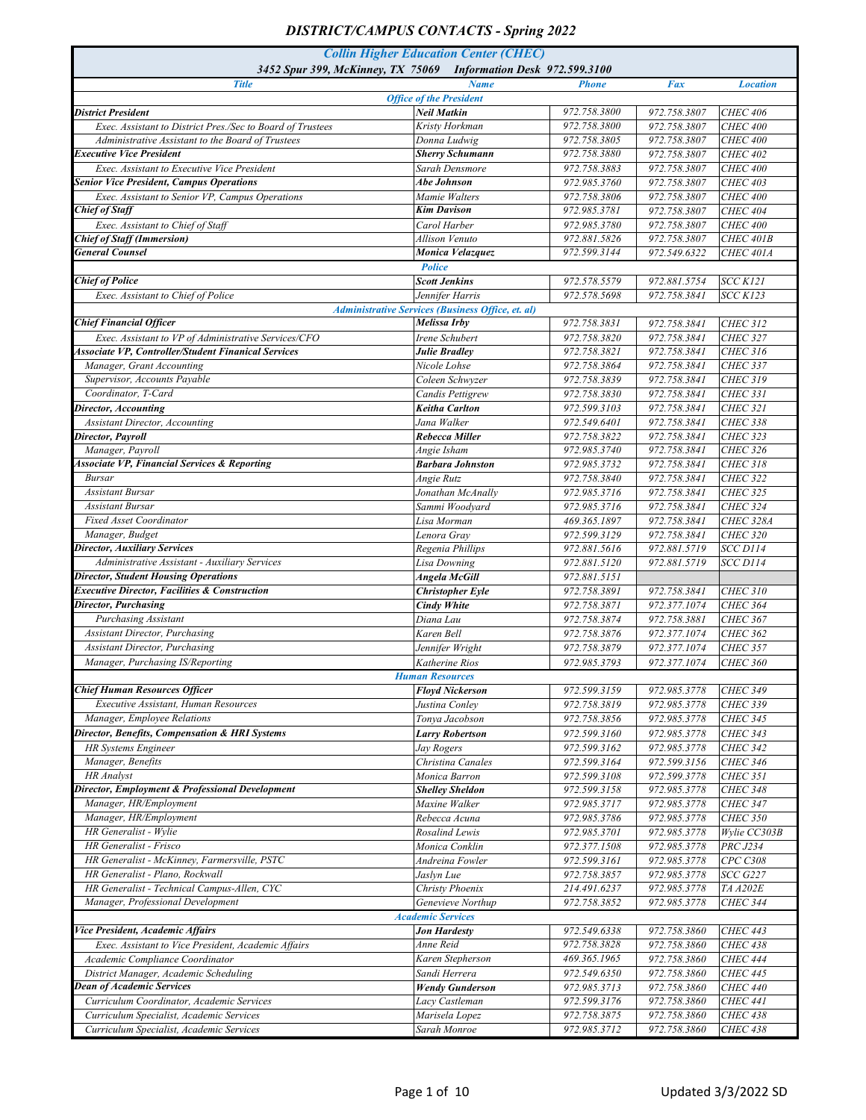| <b>Title</b><br><b>Fax</b><br><b>Name</b><br><b>Phone</b><br><b>Location</b><br><b>Office of the President</b><br>972.758.3800<br>Neil Matkin<br>972.758.3807<br><b>CHEC 406</b><br><b>District President</b><br>Kristy Horkman<br>972.758.3800<br>972.758.3807<br>Exec. Assistant to District Pres./Sec to Board of Trustees<br><b>CHEC 400</b><br>Donna Ludwig<br>972.758.3805<br>972.758.3807<br>Administrative Assistant to the Board of Trustees<br><b>CHEC 400</b><br><b>Executive Vice President</b><br><b>Sherry Schumann</b><br>972.758.3880<br>972.758.3807<br><b>CHEC 402</b><br>972.758.3807<br>Exec. Assistant to Executive Vice President<br>Sarah Densmore<br>972.758.3883<br><b>CHEC 400</b><br><b>Senior Vice President, Campus Operations</b><br><b>Abe Johnson</b><br>972.985.3760<br>972.758.3807<br><b>CHEC 403</b><br>972.758.3807<br>Exec. Assistant to Senior VP, Campus Operations<br>Mamie Walters<br>972.758.3806<br><b>CHEC 400</b><br>972.985.3781<br><b>Chief of Staff</b><br>Kim Davison<br>972.758.3807<br><b>CHEC 404</b><br>972.758.3807<br>Exec. Assistant to Chief of Staff<br>Carol Harber<br>972.985.3780<br><b>CHEC 400</b><br>972.758.3807<br><b>Chief of Staff (Immersion)</b><br>972.881.5826<br>CHEC 401B<br>Allison Venuto<br><b>General Counsel</b><br>Monica Velazquez<br>972.599.3144<br>972.549.6322<br>CHEC 401A<br><b>Police</b><br><b>Chief of Police</b><br><b>Scott Jenkins</b><br>972.578.5579<br>972.881.5754<br><b>SCC K121</b><br>972.578.5698<br>972.758.3841<br><b>SCC K123</b><br>Exec. Assistant to Chief of Police<br>Jennifer Harris<br>Administrative Services (Business Office, et. al)<br><b>Chief Financial Officer</b><br>Melissa Irby<br>972.758.3831<br>972.758.3841<br><b>CHEC 312</b><br>Exec. Assistant to VP of Administrative Services/CFO<br>972.758.3841<br>Irene Schubert<br>972.758.3820<br><b>CHEC 327</b><br><b>Associate VP, Controller/Student Finanical Services</b><br>972.758.3821<br>972.758.3841<br><b>CHEC 316</b><br>Julie Bradley<br>Manager, Grant Accounting<br>972.758.3841<br>Nicole Lohse<br>972.758.3864<br><b>CHEC 337</b><br>Supervisor, Accounts Payable<br>Coleen Schwyzer<br>972.758.3839<br>972.758.3841<br><b>CHEC 319</b><br>Coordinator, T-Card<br>972.758.3841<br>972.758.3830<br><b>CHEC 331</b><br><b>Candis Pettigrew</b><br>972.758.3841<br><b>CHEC 321</b><br><b>Director, Accounting</b><br><b>Keitha Carlton</b><br>972.599.3103<br>Jana Walker<br>972.758.3841<br>972.549.6401<br><b>CHEC 338</b><br><b>Assistant Director, Accounting</b><br>Director, Payroll<br>972.758.3822<br>972.758.3841<br>$CHEC$ 323<br>Rebecca Miller<br>Manager, Payroll<br>Angie Isham<br>972.985.3740<br>972.758.3841<br><b>CHEC 326</b><br><b>Associate VP, Financial Services &amp; Reporting</b><br><b>Barbara Johnston</b><br>972.985.3732<br>972.758.3841<br><b>CHEC 318</b><br>972.758.3841<br>Bursar<br>Angie Rutz<br>972.758.3840<br><b>CHEC 322</b><br><b>Assistant Bursar</b><br>Jonathan McAnally<br>972.985.3716<br>972.758.3841<br><b>CHEC 325</b><br><b>Assistant Bursar</b><br>Sammi Woodvard<br>972.985.3716<br>972.758.3841<br><b>CHEC 324</b><br><b>Fixed Asset Coordinator</b><br>972.758.3841<br><b>CHEC 328A</b><br>Lisa Morman<br>469.365.1897<br>Manager, Budget<br>Lenora Grav<br>972.599.3129<br>972.758.3841<br><b>CHEC 320</b><br><b>Director, Auxiliary Services</b><br>972.881.5719<br><b>SCC D114</b><br>Regenia Phillips<br>972.881.5616<br>Administrative Assistant - Auxiliary Services<br>972.881.5719<br><b>SCC D114</b><br>Lisa Downing<br>972.881.5120<br><b>Director, Student Housing Operations</b><br>Angela McGill<br>972.881.5151<br><b>Executive Director, Facilities &amp; Construction</b><br><b>CHEC 310</b><br><b>Christopher Eyle</b><br>972.758.3891<br>972.758.3841<br><b>Director, Purchasing</b><br>972.377.1074<br><b>CHEC 364</b><br><b>Cindy White</b><br>972.758.3871<br>Purchasing Assistant<br>Diana Lau<br>972.758.3874<br>972.758.3881<br><b>CHEC 367</b><br><b>Assistant Director, Purchasing</b><br>972.377.1074<br>Karen Bell<br>972.758.3876<br><b>CHEC 362</b><br><b>Assistant Director, Purchasing</b><br>972.377.1074<br>Jennifer Wright<br>972.758.3879<br><b>CHEC 357</b><br>Manager, Purchasing IS/Reporting<br>972.985.3793<br>972.377.1074<br><b>CHEC 360</b><br>Katherine Rios<br><b>Human Resources</b><br><b>Chief Human Resources Officer</b><br>972.599.3159<br>972.985.3778<br><b>CHEC 349</b><br><b>Floyd Nickerson</b><br>Executive Assistant, Human Resources<br>Justina Conley<br>972.758.3819<br>972.985.3778<br><b>CHEC 339</b><br>Manager, Employee Relations<br>Tonya Jacobson<br>972.758.3856<br>972.985.3778<br><b>CHEC 345</b><br>Director, Benefits, Compensation & HRI Systems<br>972.985.3778<br><b>Larry Robertson</b><br>972.599.3160<br><b>CHEC 343</b><br>972.985.3778<br><b>HR</b> Systems Engineer<br>972.599.3162<br><b>CHEC 342</b><br>Jay Rogers<br>Manager, Benefits<br>972.599.3156<br>Christina Canales<br>972.599.3164<br><b>CHEC 346</b><br>HR Analyst<br>972.599.3778<br>Monica Barron<br>972.599.3108<br><b>CHEC 351</b><br>Director, Employment & Professional Development<br><b>Shelley Sheldon</b><br>972.599.3158<br>972.985.3778<br><b>CHEC 348</b><br>Manager, HR/Employment<br>Maxine Walker<br>972.985.3717<br>972.985.3778<br><b>CHEC 347</b><br>Manager, HR/Employment<br>Rebecca Acuna<br>972.985.3786<br>972.985.3778<br><b>CHEC 350</b><br>HR Generalist - Wylie<br>Rosalind Lewis<br>972.985.3701<br>972.985.3778<br>Wylie CC303B<br>HR Generalist - Frisco<br>Monica Conklin<br>972.377.1508<br>972.985.3778<br><b>PRC J234</b><br>HR Generalist - McKinney, Farmersville, PSTC<br>CPCC308<br>Andreina Fowler<br>972.599.3161<br>972.985.3778<br>HR Generalist - Plano, Rockwall<br>Jaslyn Lue<br>972.758.3857<br>972.985.3778<br><b>SCC G227</b><br>HR Generalist - Technical Campus-Allen, CYC<br>Christy Phoenix<br>972.985.3778<br>214.491.6237<br><b>TA A202E</b><br>Manager, Professional Development<br>Genevieve Northup<br>972.758.3852<br>972.985.3778<br><b>CHEC 344</b><br><b>Academic Services</b><br>Vice President, Academic Affairs<br>972.758.3860<br><b>CHEC 443</b><br><b>Jon Hardesty</b><br>972.549.6338<br>972.758.3828<br>Anne Reid<br>972.758.3860<br>Exec. Assistant to Vice President, Academic Affairs<br><b>CHEC 438</b><br>Academic Compliance Coordinator<br>Karen Stepherson<br>469.365.1965<br>972.758.3860<br><b>CHEC 444</b><br>District Manager, Academic Scheduling<br>Sandi Herrera<br>972.549.6350<br>972.758.3860<br><b>CHEC 445</b><br>Dean of Academic Services<br>972.758.3860<br><b>Wendy Gunderson</b><br>972.985.3713<br><b>CHEC 440</b><br>972.758.3860<br>Curriculum Coordinator, Academic Services<br>Lacy Castleman<br>972.599.3176<br>CHEC 441<br>972.758.3860<br>Marisela Lopez<br>972.758.3875<br><b>CHEC 438</b><br>Curriculum Specialist, Academic Services<br>Sarah Monroe<br>972.985.3712<br>972.758.3860<br><b>CHEC 438</b><br>Curriculum Specialist, Academic Services | <b>Collin Higher Education Center (CHEC)</b><br>3452 Spur 399, McKinney, TX 75069 Information Desk 972.599.3100 |  |  |  |  |  |
|-------------------------------------------------------------------------------------------------------------------------------------------------------------------------------------------------------------------------------------------------------------------------------------------------------------------------------------------------------------------------------------------------------------------------------------------------------------------------------------------------------------------------------------------------------------------------------------------------------------------------------------------------------------------------------------------------------------------------------------------------------------------------------------------------------------------------------------------------------------------------------------------------------------------------------------------------------------------------------------------------------------------------------------------------------------------------------------------------------------------------------------------------------------------------------------------------------------------------------------------------------------------------------------------------------------------------------------------------------------------------------------------------------------------------------------------------------------------------------------------------------------------------------------------------------------------------------------------------------------------------------------------------------------------------------------------------------------------------------------------------------------------------------------------------------------------------------------------------------------------------------------------------------------------------------------------------------------------------------------------------------------------------------------------------------------------------------------------------------------------------------------------------------------------------------------------------------------------------------------------------------------------------------------------------------------------------------------------------------------------------------------------------------------------------------------------------------------------------------------------------------------------------------------------------------------------------------------------------------------------------------------------------------------------------------------------------------------------------------------------------------------------------------------------------------------------------------------------------------------------------------------------------------------------------------------------------------------------------------------------------------------------------------------------------------------------------------------------------------------------------------------------------------------------------------------------------------------------------------------------------------------------------------------------------------------------------------------------------------------------------------------------------------------------------------------------------------------------------------------------------------------------------------------------------------------------------------------------------------------------------------------------------------------------------------------------------------------------------------------------------------------------------------------------------------------------------------------------------------------------------------------------------------------------------------------------------------------------------------------------------------------------------------------------------------------------------------------------------------------------------------------------------------------------------------------------------------------------------------------------------------------------------------------------------------------------------------------------------------------------------------------------------------------------------------------------------------------------------------------------------------------------------------------------------------------------------------------------------------------------------------------------------------------------------------------------------------------------------------------------------------------------------------------------------------------------------------------------------------------------------------------------------------------------------------------------------------------------------------------------------------------------------------------------------------------------------------------------------------------------------------------------------------------------------------------------------------------------------------------------------------------------------------------------------------------------------------------------------------------------------------------------------------------------------------------------------------------------------------------------------------------------------------------------------------------------------------------------------------------------------------------------------------------------------------------------------------------------------------------------------------------------------------------------------------------------------------------------------------------------------------------------------------------------------------------------------------------------------------------------------------------------------------------------------------------------------------------------------------------------------------------------------------------------------------------------------------------------------------------------------------------------------------------------------------------------------------------------------------------------------------------------------------------------------------------------------------------------------------------------------------------------------------------------------------------------------------------------------------------------------------------------------------------------------------------------------------------------------------------------------------------------------------------------------------------------------------------------------------------------------------------------------------------------------------------------------------------------------------------------------------------------------------------------------------------|-----------------------------------------------------------------------------------------------------------------|--|--|--|--|--|
|                                                                                                                                                                                                                                                                                                                                                                                                                                                                                                                                                                                                                                                                                                                                                                                                                                                                                                                                                                                                                                                                                                                                                                                                                                                                                                                                                                                                                                                                                                                                                                                                                                                                                                                                                                                                                                                                                                                                                                                                                                                                                                                                                                                                                                                                                                                                                                                                                                                                                                                                                                                                                                                                                                                                                                                                                                                                                                                                                                                                                                                                                                                                                                                                                                                                                                                                                                                                                                                                                                                                                                                                                                                                                                                                                                                                                                                                                                                                                                                                                                                                                                                                                                                                                                                                                                                                                                                                                                                                                                                                                                                                                                                                                                                                                                                                                                                                                                                                                                                                                                                                                                                                                                                                                                                                                                                                                                                                                                                                                                                                                                                                                                                                                                                                                                                                                                                                                                                                                                                                                                                                                                                                                                                                                                                                                                                                                                                                                                                                                                                                                                                                                                                                                                                                                                                                                                                                                                                                                                                                                                                             |                                                                                                                 |  |  |  |  |  |
|                                                                                                                                                                                                                                                                                                                                                                                                                                                                                                                                                                                                                                                                                                                                                                                                                                                                                                                                                                                                                                                                                                                                                                                                                                                                                                                                                                                                                                                                                                                                                                                                                                                                                                                                                                                                                                                                                                                                                                                                                                                                                                                                                                                                                                                                                                                                                                                                                                                                                                                                                                                                                                                                                                                                                                                                                                                                                                                                                                                                                                                                                                                                                                                                                                                                                                                                                                                                                                                                                                                                                                                                                                                                                                                                                                                                                                                                                                                                                                                                                                                                                                                                                                                                                                                                                                                                                                                                                                                                                                                                                                                                                                                                                                                                                                                                                                                                                                                                                                                                                                                                                                                                                                                                                                                                                                                                                                                                                                                                                                                                                                                                                                                                                                                                                                                                                                                                                                                                                                                                                                                                                                                                                                                                                                                                                                                                                                                                                                                                                                                                                                                                                                                                                                                                                                                                                                                                                                                                                                                                                                                             |                                                                                                                 |  |  |  |  |  |
|                                                                                                                                                                                                                                                                                                                                                                                                                                                                                                                                                                                                                                                                                                                                                                                                                                                                                                                                                                                                                                                                                                                                                                                                                                                                                                                                                                                                                                                                                                                                                                                                                                                                                                                                                                                                                                                                                                                                                                                                                                                                                                                                                                                                                                                                                                                                                                                                                                                                                                                                                                                                                                                                                                                                                                                                                                                                                                                                                                                                                                                                                                                                                                                                                                                                                                                                                                                                                                                                                                                                                                                                                                                                                                                                                                                                                                                                                                                                                                                                                                                                                                                                                                                                                                                                                                                                                                                                                                                                                                                                                                                                                                                                                                                                                                                                                                                                                                                                                                                                                                                                                                                                                                                                                                                                                                                                                                                                                                                                                                                                                                                                                                                                                                                                                                                                                                                                                                                                                                                                                                                                                                                                                                                                                                                                                                                                                                                                                                                                                                                                                                                                                                                                                                                                                                                                                                                                                                                                                                                                                                                             |                                                                                                                 |  |  |  |  |  |
|                                                                                                                                                                                                                                                                                                                                                                                                                                                                                                                                                                                                                                                                                                                                                                                                                                                                                                                                                                                                                                                                                                                                                                                                                                                                                                                                                                                                                                                                                                                                                                                                                                                                                                                                                                                                                                                                                                                                                                                                                                                                                                                                                                                                                                                                                                                                                                                                                                                                                                                                                                                                                                                                                                                                                                                                                                                                                                                                                                                                                                                                                                                                                                                                                                                                                                                                                                                                                                                                                                                                                                                                                                                                                                                                                                                                                                                                                                                                                                                                                                                                                                                                                                                                                                                                                                                                                                                                                                                                                                                                                                                                                                                                                                                                                                                                                                                                                                                                                                                                                                                                                                                                                                                                                                                                                                                                                                                                                                                                                                                                                                                                                                                                                                                                                                                                                                                                                                                                                                                                                                                                                                                                                                                                                                                                                                                                                                                                                                                                                                                                                                                                                                                                                                                                                                                                                                                                                                                                                                                                                                                             |                                                                                                                 |  |  |  |  |  |
|                                                                                                                                                                                                                                                                                                                                                                                                                                                                                                                                                                                                                                                                                                                                                                                                                                                                                                                                                                                                                                                                                                                                                                                                                                                                                                                                                                                                                                                                                                                                                                                                                                                                                                                                                                                                                                                                                                                                                                                                                                                                                                                                                                                                                                                                                                                                                                                                                                                                                                                                                                                                                                                                                                                                                                                                                                                                                                                                                                                                                                                                                                                                                                                                                                                                                                                                                                                                                                                                                                                                                                                                                                                                                                                                                                                                                                                                                                                                                                                                                                                                                                                                                                                                                                                                                                                                                                                                                                                                                                                                                                                                                                                                                                                                                                                                                                                                                                                                                                                                                                                                                                                                                                                                                                                                                                                                                                                                                                                                                                                                                                                                                                                                                                                                                                                                                                                                                                                                                                                                                                                                                                                                                                                                                                                                                                                                                                                                                                                                                                                                                                                                                                                                                                                                                                                                                                                                                                                                                                                                                                                             |                                                                                                                 |  |  |  |  |  |
|                                                                                                                                                                                                                                                                                                                                                                                                                                                                                                                                                                                                                                                                                                                                                                                                                                                                                                                                                                                                                                                                                                                                                                                                                                                                                                                                                                                                                                                                                                                                                                                                                                                                                                                                                                                                                                                                                                                                                                                                                                                                                                                                                                                                                                                                                                                                                                                                                                                                                                                                                                                                                                                                                                                                                                                                                                                                                                                                                                                                                                                                                                                                                                                                                                                                                                                                                                                                                                                                                                                                                                                                                                                                                                                                                                                                                                                                                                                                                                                                                                                                                                                                                                                                                                                                                                                                                                                                                                                                                                                                                                                                                                                                                                                                                                                                                                                                                                                                                                                                                                                                                                                                                                                                                                                                                                                                                                                                                                                                                                                                                                                                                                                                                                                                                                                                                                                                                                                                                                                                                                                                                                                                                                                                                                                                                                                                                                                                                                                                                                                                                                                                                                                                                                                                                                                                                                                                                                                                                                                                                                                             |                                                                                                                 |  |  |  |  |  |
|                                                                                                                                                                                                                                                                                                                                                                                                                                                                                                                                                                                                                                                                                                                                                                                                                                                                                                                                                                                                                                                                                                                                                                                                                                                                                                                                                                                                                                                                                                                                                                                                                                                                                                                                                                                                                                                                                                                                                                                                                                                                                                                                                                                                                                                                                                                                                                                                                                                                                                                                                                                                                                                                                                                                                                                                                                                                                                                                                                                                                                                                                                                                                                                                                                                                                                                                                                                                                                                                                                                                                                                                                                                                                                                                                                                                                                                                                                                                                                                                                                                                                                                                                                                                                                                                                                                                                                                                                                                                                                                                                                                                                                                                                                                                                                                                                                                                                                                                                                                                                                                                                                                                                                                                                                                                                                                                                                                                                                                                                                                                                                                                                                                                                                                                                                                                                                                                                                                                                                                                                                                                                                                                                                                                                                                                                                                                                                                                                                                                                                                                                                                                                                                                                                                                                                                                                                                                                                                                                                                                                                                             |                                                                                                                 |  |  |  |  |  |
|                                                                                                                                                                                                                                                                                                                                                                                                                                                                                                                                                                                                                                                                                                                                                                                                                                                                                                                                                                                                                                                                                                                                                                                                                                                                                                                                                                                                                                                                                                                                                                                                                                                                                                                                                                                                                                                                                                                                                                                                                                                                                                                                                                                                                                                                                                                                                                                                                                                                                                                                                                                                                                                                                                                                                                                                                                                                                                                                                                                                                                                                                                                                                                                                                                                                                                                                                                                                                                                                                                                                                                                                                                                                                                                                                                                                                                                                                                                                                                                                                                                                                                                                                                                                                                                                                                                                                                                                                                                                                                                                                                                                                                                                                                                                                                                                                                                                                                                                                                                                                                                                                                                                                                                                                                                                                                                                                                                                                                                                                                                                                                                                                                                                                                                                                                                                                                                                                                                                                                                                                                                                                                                                                                                                                                                                                                                                                                                                                                                                                                                                                                                                                                                                                                                                                                                                                                                                                                                                                                                                                                                             |                                                                                                                 |  |  |  |  |  |
|                                                                                                                                                                                                                                                                                                                                                                                                                                                                                                                                                                                                                                                                                                                                                                                                                                                                                                                                                                                                                                                                                                                                                                                                                                                                                                                                                                                                                                                                                                                                                                                                                                                                                                                                                                                                                                                                                                                                                                                                                                                                                                                                                                                                                                                                                                                                                                                                                                                                                                                                                                                                                                                                                                                                                                                                                                                                                                                                                                                                                                                                                                                                                                                                                                                                                                                                                                                                                                                                                                                                                                                                                                                                                                                                                                                                                                                                                                                                                                                                                                                                                                                                                                                                                                                                                                                                                                                                                                                                                                                                                                                                                                                                                                                                                                                                                                                                                                                                                                                                                                                                                                                                                                                                                                                                                                                                                                                                                                                                                                                                                                                                                                                                                                                                                                                                                                                                                                                                                                                                                                                                                                                                                                                                                                                                                                                                                                                                                                                                                                                                                                                                                                                                                                                                                                                                                                                                                                                                                                                                                                                             |                                                                                                                 |  |  |  |  |  |
|                                                                                                                                                                                                                                                                                                                                                                                                                                                                                                                                                                                                                                                                                                                                                                                                                                                                                                                                                                                                                                                                                                                                                                                                                                                                                                                                                                                                                                                                                                                                                                                                                                                                                                                                                                                                                                                                                                                                                                                                                                                                                                                                                                                                                                                                                                                                                                                                                                                                                                                                                                                                                                                                                                                                                                                                                                                                                                                                                                                                                                                                                                                                                                                                                                                                                                                                                                                                                                                                                                                                                                                                                                                                                                                                                                                                                                                                                                                                                                                                                                                                                                                                                                                                                                                                                                                                                                                                                                                                                                                                                                                                                                                                                                                                                                                                                                                                                                                                                                                                                                                                                                                                                                                                                                                                                                                                                                                                                                                                                                                                                                                                                                                                                                                                                                                                                                                                                                                                                                                                                                                                                                                                                                                                                                                                                                                                                                                                                                                                                                                                                                                                                                                                                                                                                                                                                                                                                                                                                                                                                                                             |                                                                                                                 |  |  |  |  |  |
|                                                                                                                                                                                                                                                                                                                                                                                                                                                                                                                                                                                                                                                                                                                                                                                                                                                                                                                                                                                                                                                                                                                                                                                                                                                                                                                                                                                                                                                                                                                                                                                                                                                                                                                                                                                                                                                                                                                                                                                                                                                                                                                                                                                                                                                                                                                                                                                                                                                                                                                                                                                                                                                                                                                                                                                                                                                                                                                                                                                                                                                                                                                                                                                                                                                                                                                                                                                                                                                                                                                                                                                                                                                                                                                                                                                                                                                                                                                                                                                                                                                                                                                                                                                                                                                                                                                                                                                                                                                                                                                                                                                                                                                                                                                                                                                                                                                                                                                                                                                                                                                                                                                                                                                                                                                                                                                                                                                                                                                                                                                                                                                                                                                                                                                                                                                                                                                                                                                                                                                                                                                                                                                                                                                                                                                                                                                                                                                                                                                                                                                                                                                                                                                                                                                                                                                                                                                                                                                                                                                                                                                             |                                                                                                                 |  |  |  |  |  |
|                                                                                                                                                                                                                                                                                                                                                                                                                                                                                                                                                                                                                                                                                                                                                                                                                                                                                                                                                                                                                                                                                                                                                                                                                                                                                                                                                                                                                                                                                                                                                                                                                                                                                                                                                                                                                                                                                                                                                                                                                                                                                                                                                                                                                                                                                                                                                                                                                                                                                                                                                                                                                                                                                                                                                                                                                                                                                                                                                                                                                                                                                                                                                                                                                                                                                                                                                                                                                                                                                                                                                                                                                                                                                                                                                                                                                                                                                                                                                                                                                                                                                                                                                                                                                                                                                                                                                                                                                                                                                                                                                                                                                                                                                                                                                                                                                                                                                                                                                                                                                                                                                                                                                                                                                                                                                                                                                                                                                                                                                                                                                                                                                                                                                                                                                                                                                                                                                                                                                                                                                                                                                                                                                                                                                                                                                                                                                                                                                                                                                                                                                                                                                                                                                                                                                                                                                                                                                                                                                                                                                                                             |                                                                                                                 |  |  |  |  |  |
|                                                                                                                                                                                                                                                                                                                                                                                                                                                                                                                                                                                                                                                                                                                                                                                                                                                                                                                                                                                                                                                                                                                                                                                                                                                                                                                                                                                                                                                                                                                                                                                                                                                                                                                                                                                                                                                                                                                                                                                                                                                                                                                                                                                                                                                                                                                                                                                                                                                                                                                                                                                                                                                                                                                                                                                                                                                                                                                                                                                                                                                                                                                                                                                                                                                                                                                                                                                                                                                                                                                                                                                                                                                                                                                                                                                                                                                                                                                                                                                                                                                                                                                                                                                                                                                                                                                                                                                                                                                                                                                                                                                                                                                                                                                                                                                                                                                                                                                                                                                                                                                                                                                                                                                                                                                                                                                                                                                                                                                                                                                                                                                                                                                                                                                                                                                                                                                                                                                                                                                                                                                                                                                                                                                                                                                                                                                                                                                                                                                                                                                                                                                                                                                                                                                                                                                                                                                                                                                                                                                                                                                             |                                                                                                                 |  |  |  |  |  |
|                                                                                                                                                                                                                                                                                                                                                                                                                                                                                                                                                                                                                                                                                                                                                                                                                                                                                                                                                                                                                                                                                                                                                                                                                                                                                                                                                                                                                                                                                                                                                                                                                                                                                                                                                                                                                                                                                                                                                                                                                                                                                                                                                                                                                                                                                                                                                                                                                                                                                                                                                                                                                                                                                                                                                                                                                                                                                                                                                                                                                                                                                                                                                                                                                                                                                                                                                                                                                                                                                                                                                                                                                                                                                                                                                                                                                                                                                                                                                                                                                                                                                                                                                                                                                                                                                                                                                                                                                                                                                                                                                                                                                                                                                                                                                                                                                                                                                                                                                                                                                                                                                                                                                                                                                                                                                                                                                                                                                                                                                                                                                                                                                                                                                                                                                                                                                                                                                                                                                                                                                                                                                                                                                                                                                                                                                                                                                                                                                                                                                                                                                                                                                                                                                                                                                                                                                                                                                                                                                                                                                                                             |                                                                                                                 |  |  |  |  |  |
|                                                                                                                                                                                                                                                                                                                                                                                                                                                                                                                                                                                                                                                                                                                                                                                                                                                                                                                                                                                                                                                                                                                                                                                                                                                                                                                                                                                                                                                                                                                                                                                                                                                                                                                                                                                                                                                                                                                                                                                                                                                                                                                                                                                                                                                                                                                                                                                                                                                                                                                                                                                                                                                                                                                                                                                                                                                                                                                                                                                                                                                                                                                                                                                                                                                                                                                                                                                                                                                                                                                                                                                                                                                                                                                                                                                                                                                                                                                                                                                                                                                                                                                                                                                                                                                                                                                                                                                                                                                                                                                                                                                                                                                                                                                                                                                                                                                                                                                                                                                                                                                                                                                                                                                                                                                                                                                                                                                                                                                                                                                                                                                                                                                                                                                                                                                                                                                                                                                                                                                                                                                                                                                                                                                                                                                                                                                                                                                                                                                                                                                                                                                                                                                                                                                                                                                                                                                                                                                                                                                                                                                             |                                                                                                                 |  |  |  |  |  |
|                                                                                                                                                                                                                                                                                                                                                                                                                                                                                                                                                                                                                                                                                                                                                                                                                                                                                                                                                                                                                                                                                                                                                                                                                                                                                                                                                                                                                                                                                                                                                                                                                                                                                                                                                                                                                                                                                                                                                                                                                                                                                                                                                                                                                                                                                                                                                                                                                                                                                                                                                                                                                                                                                                                                                                                                                                                                                                                                                                                                                                                                                                                                                                                                                                                                                                                                                                                                                                                                                                                                                                                                                                                                                                                                                                                                                                                                                                                                                                                                                                                                                                                                                                                                                                                                                                                                                                                                                                                                                                                                                                                                                                                                                                                                                                                                                                                                                                                                                                                                                                                                                                                                                                                                                                                                                                                                                                                                                                                                                                                                                                                                                                                                                                                                                                                                                                                                                                                                                                                                                                                                                                                                                                                                                                                                                                                                                                                                                                                                                                                                                                                                                                                                                                                                                                                                                                                                                                                                                                                                                                                             |                                                                                                                 |  |  |  |  |  |
|                                                                                                                                                                                                                                                                                                                                                                                                                                                                                                                                                                                                                                                                                                                                                                                                                                                                                                                                                                                                                                                                                                                                                                                                                                                                                                                                                                                                                                                                                                                                                                                                                                                                                                                                                                                                                                                                                                                                                                                                                                                                                                                                                                                                                                                                                                                                                                                                                                                                                                                                                                                                                                                                                                                                                                                                                                                                                                                                                                                                                                                                                                                                                                                                                                                                                                                                                                                                                                                                                                                                                                                                                                                                                                                                                                                                                                                                                                                                                                                                                                                                                                                                                                                                                                                                                                                                                                                                                                                                                                                                                                                                                                                                                                                                                                                                                                                                                                                                                                                                                                                                                                                                                                                                                                                                                                                                                                                                                                                                                                                                                                                                                                                                                                                                                                                                                                                                                                                                                                                                                                                                                                                                                                                                                                                                                                                                                                                                                                                                                                                                                                                                                                                                                                                                                                                                                                                                                                                                                                                                                                                             |                                                                                                                 |  |  |  |  |  |
|                                                                                                                                                                                                                                                                                                                                                                                                                                                                                                                                                                                                                                                                                                                                                                                                                                                                                                                                                                                                                                                                                                                                                                                                                                                                                                                                                                                                                                                                                                                                                                                                                                                                                                                                                                                                                                                                                                                                                                                                                                                                                                                                                                                                                                                                                                                                                                                                                                                                                                                                                                                                                                                                                                                                                                                                                                                                                                                                                                                                                                                                                                                                                                                                                                                                                                                                                                                                                                                                                                                                                                                                                                                                                                                                                                                                                                                                                                                                                                                                                                                                                                                                                                                                                                                                                                                                                                                                                                                                                                                                                                                                                                                                                                                                                                                                                                                                                                                                                                                                                                                                                                                                                                                                                                                                                                                                                                                                                                                                                                                                                                                                                                                                                                                                                                                                                                                                                                                                                                                                                                                                                                                                                                                                                                                                                                                                                                                                                                                                                                                                                                                                                                                                                                                                                                                                                                                                                                                                                                                                                                                             |                                                                                                                 |  |  |  |  |  |
|                                                                                                                                                                                                                                                                                                                                                                                                                                                                                                                                                                                                                                                                                                                                                                                                                                                                                                                                                                                                                                                                                                                                                                                                                                                                                                                                                                                                                                                                                                                                                                                                                                                                                                                                                                                                                                                                                                                                                                                                                                                                                                                                                                                                                                                                                                                                                                                                                                                                                                                                                                                                                                                                                                                                                                                                                                                                                                                                                                                                                                                                                                                                                                                                                                                                                                                                                                                                                                                                                                                                                                                                                                                                                                                                                                                                                                                                                                                                                                                                                                                                                                                                                                                                                                                                                                                                                                                                                                                                                                                                                                                                                                                                                                                                                                                                                                                                                                                                                                                                                                                                                                                                                                                                                                                                                                                                                                                                                                                                                                                                                                                                                                                                                                                                                                                                                                                                                                                                                                                                                                                                                                                                                                                                                                                                                                                                                                                                                                                                                                                                                                                                                                                                                                                                                                                                                                                                                                                                                                                                                                                             |                                                                                                                 |  |  |  |  |  |
|                                                                                                                                                                                                                                                                                                                                                                                                                                                                                                                                                                                                                                                                                                                                                                                                                                                                                                                                                                                                                                                                                                                                                                                                                                                                                                                                                                                                                                                                                                                                                                                                                                                                                                                                                                                                                                                                                                                                                                                                                                                                                                                                                                                                                                                                                                                                                                                                                                                                                                                                                                                                                                                                                                                                                                                                                                                                                                                                                                                                                                                                                                                                                                                                                                                                                                                                                                                                                                                                                                                                                                                                                                                                                                                                                                                                                                                                                                                                                                                                                                                                                                                                                                                                                                                                                                                                                                                                                                                                                                                                                                                                                                                                                                                                                                                                                                                                                                                                                                                                                                                                                                                                                                                                                                                                                                                                                                                                                                                                                                                                                                                                                                                                                                                                                                                                                                                                                                                                                                                                                                                                                                                                                                                                                                                                                                                                                                                                                                                                                                                                                                                                                                                                                                                                                                                                                                                                                                                                                                                                                                                             |                                                                                                                 |  |  |  |  |  |
|                                                                                                                                                                                                                                                                                                                                                                                                                                                                                                                                                                                                                                                                                                                                                                                                                                                                                                                                                                                                                                                                                                                                                                                                                                                                                                                                                                                                                                                                                                                                                                                                                                                                                                                                                                                                                                                                                                                                                                                                                                                                                                                                                                                                                                                                                                                                                                                                                                                                                                                                                                                                                                                                                                                                                                                                                                                                                                                                                                                                                                                                                                                                                                                                                                                                                                                                                                                                                                                                                                                                                                                                                                                                                                                                                                                                                                                                                                                                                                                                                                                                                                                                                                                                                                                                                                                                                                                                                                                                                                                                                                                                                                                                                                                                                                                                                                                                                                                                                                                                                                                                                                                                                                                                                                                                                                                                                                                                                                                                                                                                                                                                                                                                                                                                                                                                                                                                                                                                                                                                                                                                                                                                                                                                                                                                                                                                                                                                                                                                                                                                                                                                                                                                                                                                                                                                                                                                                                                                                                                                                                                             |                                                                                                                 |  |  |  |  |  |
|                                                                                                                                                                                                                                                                                                                                                                                                                                                                                                                                                                                                                                                                                                                                                                                                                                                                                                                                                                                                                                                                                                                                                                                                                                                                                                                                                                                                                                                                                                                                                                                                                                                                                                                                                                                                                                                                                                                                                                                                                                                                                                                                                                                                                                                                                                                                                                                                                                                                                                                                                                                                                                                                                                                                                                                                                                                                                                                                                                                                                                                                                                                                                                                                                                                                                                                                                                                                                                                                                                                                                                                                                                                                                                                                                                                                                                                                                                                                                                                                                                                                                                                                                                                                                                                                                                                                                                                                                                                                                                                                                                                                                                                                                                                                                                                                                                                                                                                                                                                                                                                                                                                                                                                                                                                                                                                                                                                                                                                                                                                                                                                                                                                                                                                                                                                                                                                                                                                                                                                                                                                                                                                                                                                                                                                                                                                                                                                                                                                                                                                                                                                                                                                                                                                                                                                                                                                                                                                                                                                                                                                             |                                                                                                                 |  |  |  |  |  |
|                                                                                                                                                                                                                                                                                                                                                                                                                                                                                                                                                                                                                                                                                                                                                                                                                                                                                                                                                                                                                                                                                                                                                                                                                                                                                                                                                                                                                                                                                                                                                                                                                                                                                                                                                                                                                                                                                                                                                                                                                                                                                                                                                                                                                                                                                                                                                                                                                                                                                                                                                                                                                                                                                                                                                                                                                                                                                                                                                                                                                                                                                                                                                                                                                                                                                                                                                                                                                                                                                                                                                                                                                                                                                                                                                                                                                                                                                                                                                                                                                                                                                                                                                                                                                                                                                                                                                                                                                                                                                                                                                                                                                                                                                                                                                                                                                                                                                                                                                                                                                                                                                                                                                                                                                                                                                                                                                                                                                                                                                                                                                                                                                                                                                                                                                                                                                                                                                                                                                                                                                                                                                                                                                                                                                                                                                                                                                                                                                                                                                                                                                                                                                                                                                                                                                                                                                                                                                                                                                                                                                                                             |                                                                                                                 |  |  |  |  |  |
|                                                                                                                                                                                                                                                                                                                                                                                                                                                                                                                                                                                                                                                                                                                                                                                                                                                                                                                                                                                                                                                                                                                                                                                                                                                                                                                                                                                                                                                                                                                                                                                                                                                                                                                                                                                                                                                                                                                                                                                                                                                                                                                                                                                                                                                                                                                                                                                                                                                                                                                                                                                                                                                                                                                                                                                                                                                                                                                                                                                                                                                                                                                                                                                                                                                                                                                                                                                                                                                                                                                                                                                                                                                                                                                                                                                                                                                                                                                                                                                                                                                                                                                                                                                                                                                                                                                                                                                                                                                                                                                                                                                                                                                                                                                                                                                                                                                                                                                                                                                                                                                                                                                                                                                                                                                                                                                                                                                                                                                                                                                                                                                                                                                                                                                                                                                                                                                                                                                                                                                                                                                                                                                                                                                                                                                                                                                                                                                                                                                                                                                                                                                                                                                                                                                                                                                                                                                                                                                                                                                                                                                             |                                                                                                                 |  |  |  |  |  |
|                                                                                                                                                                                                                                                                                                                                                                                                                                                                                                                                                                                                                                                                                                                                                                                                                                                                                                                                                                                                                                                                                                                                                                                                                                                                                                                                                                                                                                                                                                                                                                                                                                                                                                                                                                                                                                                                                                                                                                                                                                                                                                                                                                                                                                                                                                                                                                                                                                                                                                                                                                                                                                                                                                                                                                                                                                                                                                                                                                                                                                                                                                                                                                                                                                                                                                                                                                                                                                                                                                                                                                                                                                                                                                                                                                                                                                                                                                                                                                                                                                                                                                                                                                                                                                                                                                                                                                                                                                                                                                                                                                                                                                                                                                                                                                                                                                                                                                                                                                                                                                                                                                                                                                                                                                                                                                                                                                                                                                                                                                                                                                                                                                                                                                                                                                                                                                                                                                                                                                                                                                                                                                                                                                                                                                                                                                                                                                                                                                                                                                                                                                                                                                                                                                                                                                                                                                                                                                                                                                                                                                                             |                                                                                                                 |  |  |  |  |  |
|                                                                                                                                                                                                                                                                                                                                                                                                                                                                                                                                                                                                                                                                                                                                                                                                                                                                                                                                                                                                                                                                                                                                                                                                                                                                                                                                                                                                                                                                                                                                                                                                                                                                                                                                                                                                                                                                                                                                                                                                                                                                                                                                                                                                                                                                                                                                                                                                                                                                                                                                                                                                                                                                                                                                                                                                                                                                                                                                                                                                                                                                                                                                                                                                                                                                                                                                                                                                                                                                                                                                                                                                                                                                                                                                                                                                                                                                                                                                                                                                                                                                                                                                                                                                                                                                                                                                                                                                                                                                                                                                                                                                                                                                                                                                                                                                                                                                                                                                                                                                                                                                                                                                                                                                                                                                                                                                                                                                                                                                                                                                                                                                                                                                                                                                                                                                                                                                                                                                                                                                                                                                                                                                                                                                                                                                                                                                                                                                                                                                                                                                                                                                                                                                                                                                                                                                                                                                                                                                                                                                                                                             |                                                                                                                 |  |  |  |  |  |
|                                                                                                                                                                                                                                                                                                                                                                                                                                                                                                                                                                                                                                                                                                                                                                                                                                                                                                                                                                                                                                                                                                                                                                                                                                                                                                                                                                                                                                                                                                                                                                                                                                                                                                                                                                                                                                                                                                                                                                                                                                                                                                                                                                                                                                                                                                                                                                                                                                                                                                                                                                                                                                                                                                                                                                                                                                                                                                                                                                                                                                                                                                                                                                                                                                                                                                                                                                                                                                                                                                                                                                                                                                                                                                                                                                                                                                                                                                                                                                                                                                                                                                                                                                                                                                                                                                                                                                                                                                                                                                                                                                                                                                                                                                                                                                                                                                                                                                                                                                                                                                                                                                                                                                                                                                                                                                                                                                                                                                                                                                                                                                                                                                                                                                                                                                                                                                                                                                                                                                                                                                                                                                                                                                                                                                                                                                                                                                                                                                                                                                                                                                                                                                                                                                                                                                                                                                                                                                                                                                                                                                                             |                                                                                                                 |  |  |  |  |  |
|                                                                                                                                                                                                                                                                                                                                                                                                                                                                                                                                                                                                                                                                                                                                                                                                                                                                                                                                                                                                                                                                                                                                                                                                                                                                                                                                                                                                                                                                                                                                                                                                                                                                                                                                                                                                                                                                                                                                                                                                                                                                                                                                                                                                                                                                                                                                                                                                                                                                                                                                                                                                                                                                                                                                                                                                                                                                                                                                                                                                                                                                                                                                                                                                                                                                                                                                                                                                                                                                                                                                                                                                                                                                                                                                                                                                                                                                                                                                                                                                                                                                                                                                                                                                                                                                                                                                                                                                                                                                                                                                                                                                                                                                                                                                                                                                                                                                                                                                                                                                                                                                                                                                                                                                                                                                                                                                                                                                                                                                                                                                                                                                                                                                                                                                                                                                                                                                                                                                                                                                                                                                                                                                                                                                                                                                                                                                                                                                                                                                                                                                                                                                                                                                                                                                                                                                                                                                                                                                                                                                                                                             |                                                                                                                 |  |  |  |  |  |
|                                                                                                                                                                                                                                                                                                                                                                                                                                                                                                                                                                                                                                                                                                                                                                                                                                                                                                                                                                                                                                                                                                                                                                                                                                                                                                                                                                                                                                                                                                                                                                                                                                                                                                                                                                                                                                                                                                                                                                                                                                                                                                                                                                                                                                                                                                                                                                                                                                                                                                                                                                                                                                                                                                                                                                                                                                                                                                                                                                                                                                                                                                                                                                                                                                                                                                                                                                                                                                                                                                                                                                                                                                                                                                                                                                                                                                                                                                                                                                                                                                                                                                                                                                                                                                                                                                                                                                                                                                                                                                                                                                                                                                                                                                                                                                                                                                                                                                                                                                                                                                                                                                                                                                                                                                                                                                                                                                                                                                                                                                                                                                                                                                                                                                                                                                                                                                                                                                                                                                                                                                                                                                                                                                                                                                                                                                                                                                                                                                                                                                                                                                                                                                                                                                                                                                                                                                                                                                                                                                                                                                                             |                                                                                                                 |  |  |  |  |  |
|                                                                                                                                                                                                                                                                                                                                                                                                                                                                                                                                                                                                                                                                                                                                                                                                                                                                                                                                                                                                                                                                                                                                                                                                                                                                                                                                                                                                                                                                                                                                                                                                                                                                                                                                                                                                                                                                                                                                                                                                                                                                                                                                                                                                                                                                                                                                                                                                                                                                                                                                                                                                                                                                                                                                                                                                                                                                                                                                                                                                                                                                                                                                                                                                                                                                                                                                                                                                                                                                                                                                                                                                                                                                                                                                                                                                                                                                                                                                                                                                                                                                                                                                                                                                                                                                                                                                                                                                                                                                                                                                                                                                                                                                                                                                                                                                                                                                                                                                                                                                                                                                                                                                                                                                                                                                                                                                                                                                                                                                                                                                                                                                                                                                                                                                                                                                                                                                                                                                                                                                                                                                                                                                                                                                                                                                                                                                                                                                                                                                                                                                                                                                                                                                                                                                                                                                                                                                                                                                                                                                                                                             |                                                                                                                 |  |  |  |  |  |
|                                                                                                                                                                                                                                                                                                                                                                                                                                                                                                                                                                                                                                                                                                                                                                                                                                                                                                                                                                                                                                                                                                                                                                                                                                                                                                                                                                                                                                                                                                                                                                                                                                                                                                                                                                                                                                                                                                                                                                                                                                                                                                                                                                                                                                                                                                                                                                                                                                                                                                                                                                                                                                                                                                                                                                                                                                                                                                                                                                                                                                                                                                                                                                                                                                                                                                                                                                                                                                                                                                                                                                                                                                                                                                                                                                                                                                                                                                                                                                                                                                                                                                                                                                                                                                                                                                                                                                                                                                                                                                                                                                                                                                                                                                                                                                                                                                                                                                                                                                                                                                                                                                                                                                                                                                                                                                                                                                                                                                                                                                                                                                                                                                                                                                                                                                                                                                                                                                                                                                                                                                                                                                                                                                                                                                                                                                                                                                                                                                                                                                                                                                                                                                                                                                                                                                                                                                                                                                                                                                                                                                                             |                                                                                                                 |  |  |  |  |  |
|                                                                                                                                                                                                                                                                                                                                                                                                                                                                                                                                                                                                                                                                                                                                                                                                                                                                                                                                                                                                                                                                                                                                                                                                                                                                                                                                                                                                                                                                                                                                                                                                                                                                                                                                                                                                                                                                                                                                                                                                                                                                                                                                                                                                                                                                                                                                                                                                                                                                                                                                                                                                                                                                                                                                                                                                                                                                                                                                                                                                                                                                                                                                                                                                                                                                                                                                                                                                                                                                                                                                                                                                                                                                                                                                                                                                                                                                                                                                                                                                                                                                                                                                                                                                                                                                                                                                                                                                                                                                                                                                                                                                                                                                                                                                                                                                                                                                                                                                                                                                                                                                                                                                                                                                                                                                                                                                                                                                                                                                                                                                                                                                                                                                                                                                                                                                                                                                                                                                                                                                                                                                                                                                                                                                                                                                                                                                                                                                                                                                                                                                                                                                                                                                                                                                                                                                                                                                                                                                                                                                                                                             |                                                                                                                 |  |  |  |  |  |
|                                                                                                                                                                                                                                                                                                                                                                                                                                                                                                                                                                                                                                                                                                                                                                                                                                                                                                                                                                                                                                                                                                                                                                                                                                                                                                                                                                                                                                                                                                                                                                                                                                                                                                                                                                                                                                                                                                                                                                                                                                                                                                                                                                                                                                                                                                                                                                                                                                                                                                                                                                                                                                                                                                                                                                                                                                                                                                                                                                                                                                                                                                                                                                                                                                                                                                                                                                                                                                                                                                                                                                                                                                                                                                                                                                                                                                                                                                                                                                                                                                                                                                                                                                                                                                                                                                                                                                                                                                                                                                                                                                                                                                                                                                                                                                                                                                                                                                                                                                                                                                                                                                                                                                                                                                                                                                                                                                                                                                                                                                                                                                                                                                                                                                                                                                                                                                                                                                                                                                                                                                                                                                                                                                                                                                                                                                                                                                                                                                                                                                                                                                                                                                                                                                                                                                                                                                                                                                                                                                                                                                                             |                                                                                                                 |  |  |  |  |  |
|                                                                                                                                                                                                                                                                                                                                                                                                                                                                                                                                                                                                                                                                                                                                                                                                                                                                                                                                                                                                                                                                                                                                                                                                                                                                                                                                                                                                                                                                                                                                                                                                                                                                                                                                                                                                                                                                                                                                                                                                                                                                                                                                                                                                                                                                                                                                                                                                                                                                                                                                                                                                                                                                                                                                                                                                                                                                                                                                                                                                                                                                                                                                                                                                                                                                                                                                                                                                                                                                                                                                                                                                                                                                                                                                                                                                                                                                                                                                                                                                                                                                                                                                                                                                                                                                                                                                                                                                                                                                                                                                                                                                                                                                                                                                                                                                                                                                                                                                                                                                                                                                                                                                                                                                                                                                                                                                                                                                                                                                                                                                                                                                                                                                                                                                                                                                                                                                                                                                                                                                                                                                                                                                                                                                                                                                                                                                                                                                                                                                                                                                                                                                                                                                                                                                                                                                                                                                                                                                                                                                                                                             |                                                                                                                 |  |  |  |  |  |
|                                                                                                                                                                                                                                                                                                                                                                                                                                                                                                                                                                                                                                                                                                                                                                                                                                                                                                                                                                                                                                                                                                                                                                                                                                                                                                                                                                                                                                                                                                                                                                                                                                                                                                                                                                                                                                                                                                                                                                                                                                                                                                                                                                                                                                                                                                                                                                                                                                                                                                                                                                                                                                                                                                                                                                                                                                                                                                                                                                                                                                                                                                                                                                                                                                                                                                                                                                                                                                                                                                                                                                                                                                                                                                                                                                                                                                                                                                                                                                                                                                                                                                                                                                                                                                                                                                                                                                                                                                                                                                                                                                                                                                                                                                                                                                                                                                                                                                                                                                                                                                                                                                                                                                                                                                                                                                                                                                                                                                                                                                                                                                                                                                                                                                                                                                                                                                                                                                                                                                                                                                                                                                                                                                                                                                                                                                                                                                                                                                                                                                                                                                                                                                                                                                                                                                                                                                                                                                                                                                                                                                                             |                                                                                                                 |  |  |  |  |  |
|                                                                                                                                                                                                                                                                                                                                                                                                                                                                                                                                                                                                                                                                                                                                                                                                                                                                                                                                                                                                                                                                                                                                                                                                                                                                                                                                                                                                                                                                                                                                                                                                                                                                                                                                                                                                                                                                                                                                                                                                                                                                                                                                                                                                                                                                                                                                                                                                                                                                                                                                                                                                                                                                                                                                                                                                                                                                                                                                                                                                                                                                                                                                                                                                                                                                                                                                                                                                                                                                                                                                                                                                                                                                                                                                                                                                                                                                                                                                                                                                                                                                                                                                                                                                                                                                                                                                                                                                                                                                                                                                                                                                                                                                                                                                                                                                                                                                                                                                                                                                                                                                                                                                                                                                                                                                                                                                                                                                                                                                                                                                                                                                                                                                                                                                                                                                                                                                                                                                                                                                                                                                                                                                                                                                                                                                                                                                                                                                                                                                                                                                                                                                                                                                                                                                                                                                                                                                                                                                                                                                                                                             |                                                                                                                 |  |  |  |  |  |
|                                                                                                                                                                                                                                                                                                                                                                                                                                                                                                                                                                                                                                                                                                                                                                                                                                                                                                                                                                                                                                                                                                                                                                                                                                                                                                                                                                                                                                                                                                                                                                                                                                                                                                                                                                                                                                                                                                                                                                                                                                                                                                                                                                                                                                                                                                                                                                                                                                                                                                                                                                                                                                                                                                                                                                                                                                                                                                                                                                                                                                                                                                                                                                                                                                                                                                                                                                                                                                                                                                                                                                                                                                                                                                                                                                                                                                                                                                                                                                                                                                                                                                                                                                                                                                                                                                                                                                                                                                                                                                                                                                                                                                                                                                                                                                                                                                                                                                                                                                                                                                                                                                                                                                                                                                                                                                                                                                                                                                                                                                                                                                                                                                                                                                                                                                                                                                                                                                                                                                                                                                                                                                                                                                                                                                                                                                                                                                                                                                                                                                                                                                                                                                                                                                                                                                                                                                                                                                                                                                                                                                                             |                                                                                                                 |  |  |  |  |  |
|                                                                                                                                                                                                                                                                                                                                                                                                                                                                                                                                                                                                                                                                                                                                                                                                                                                                                                                                                                                                                                                                                                                                                                                                                                                                                                                                                                                                                                                                                                                                                                                                                                                                                                                                                                                                                                                                                                                                                                                                                                                                                                                                                                                                                                                                                                                                                                                                                                                                                                                                                                                                                                                                                                                                                                                                                                                                                                                                                                                                                                                                                                                                                                                                                                                                                                                                                                                                                                                                                                                                                                                                                                                                                                                                                                                                                                                                                                                                                                                                                                                                                                                                                                                                                                                                                                                                                                                                                                                                                                                                                                                                                                                                                                                                                                                                                                                                                                                                                                                                                                                                                                                                                                                                                                                                                                                                                                                                                                                                                                                                                                                                                                                                                                                                                                                                                                                                                                                                                                                                                                                                                                                                                                                                                                                                                                                                                                                                                                                                                                                                                                                                                                                                                                                                                                                                                                                                                                                                                                                                                                                             |                                                                                                                 |  |  |  |  |  |
|                                                                                                                                                                                                                                                                                                                                                                                                                                                                                                                                                                                                                                                                                                                                                                                                                                                                                                                                                                                                                                                                                                                                                                                                                                                                                                                                                                                                                                                                                                                                                                                                                                                                                                                                                                                                                                                                                                                                                                                                                                                                                                                                                                                                                                                                                                                                                                                                                                                                                                                                                                                                                                                                                                                                                                                                                                                                                                                                                                                                                                                                                                                                                                                                                                                                                                                                                                                                                                                                                                                                                                                                                                                                                                                                                                                                                                                                                                                                                                                                                                                                                                                                                                                                                                                                                                                                                                                                                                                                                                                                                                                                                                                                                                                                                                                                                                                                                                                                                                                                                                                                                                                                                                                                                                                                                                                                                                                                                                                                                                                                                                                                                                                                                                                                                                                                                                                                                                                                                                                                                                                                                                                                                                                                                                                                                                                                                                                                                                                                                                                                                                                                                                                                                                                                                                                                                                                                                                                                                                                                                                                             |                                                                                                                 |  |  |  |  |  |
|                                                                                                                                                                                                                                                                                                                                                                                                                                                                                                                                                                                                                                                                                                                                                                                                                                                                                                                                                                                                                                                                                                                                                                                                                                                                                                                                                                                                                                                                                                                                                                                                                                                                                                                                                                                                                                                                                                                                                                                                                                                                                                                                                                                                                                                                                                                                                                                                                                                                                                                                                                                                                                                                                                                                                                                                                                                                                                                                                                                                                                                                                                                                                                                                                                                                                                                                                                                                                                                                                                                                                                                                                                                                                                                                                                                                                                                                                                                                                                                                                                                                                                                                                                                                                                                                                                                                                                                                                                                                                                                                                                                                                                                                                                                                                                                                                                                                                                                                                                                                                                                                                                                                                                                                                                                                                                                                                                                                                                                                                                                                                                                                                                                                                                                                                                                                                                                                                                                                                                                                                                                                                                                                                                                                                                                                                                                                                                                                                                                                                                                                                                                                                                                                                                                                                                                                                                                                                                                                                                                                                                                             |                                                                                                                 |  |  |  |  |  |
|                                                                                                                                                                                                                                                                                                                                                                                                                                                                                                                                                                                                                                                                                                                                                                                                                                                                                                                                                                                                                                                                                                                                                                                                                                                                                                                                                                                                                                                                                                                                                                                                                                                                                                                                                                                                                                                                                                                                                                                                                                                                                                                                                                                                                                                                                                                                                                                                                                                                                                                                                                                                                                                                                                                                                                                                                                                                                                                                                                                                                                                                                                                                                                                                                                                                                                                                                                                                                                                                                                                                                                                                                                                                                                                                                                                                                                                                                                                                                                                                                                                                                                                                                                                                                                                                                                                                                                                                                                                                                                                                                                                                                                                                                                                                                                                                                                                                                                                                                                                                                                                                                                                                                                                                                                                                                                                                                                                                                                                                                                                                                                                                                                                                                                                                                                                                                                                                                                                                                                                                                                                                                                                                                                                                                                                                                                                                                                                                                                                                                                                                                                                                                                                                                                                                                                                                                                                                                                                                                                                                                                                             |                                                                                                                 |  |  |  |  |  |
|                                                                                                                                                                                                                                                                                                                                                                                                                                                                                                                                                                                                                                                                                                                                                                                                                                                                                                                                                                                                                                                                                                                                                                                                                                                                                                                                                                                                                                                                                                                                                                                                                                                                                                                                                                                                                                                                                                                                                                                                                                                                                                                                                                                                                                                                                                                                                                                                                                                                                                                                                                                                                                                                                                                                                                                                                                                                                                                                                                                                                                                                                                                                                                                                                                                                                                                                                                                                                                                                                                                                                                                                                                                                                                                                                                                                                                                                                                                                                                                                                                                                                                                                                                                                                                                                                                                                                                                                                                                                                                                                                                                                                                                                                                                                                                                                                                                                                                                                                                                                                                                                                                                                                                                                                                                                                                                                                                                                                                                                                                                                                                                                                                                                                                                                                                                                                                                                                                                                                                                                                                                                                                                                                                                                                                                                                                                                                                                                                                                                                                                                                                                                                                                                                                                                                                                                                                                                                                                                                                                                                                                             |                                                                                                                 |  |  |  |  |  |
|                                                                                                                                                                                                                                                                                                                                                                                                                                                                                                                                                                                                                                                                                                                                                                                                                                                                                                                                                                                                                                                                                                                                                                                                                                                                                                                                                                                                                                                                                                                                                                                                                                                                                                                                                                                                                                                                                                                                                                                                                                                                                                                                                                                                                                                                                                                                                                                                                                                                                                                                                                                                                                                                                                                                                                                                                                                                                                                                                                                                                                                                                                                                                                                                                                                                                                                                                                                                                                                                                                                                                                                                                                                                                                                                                                                                                                                                                                                                                                                                                                                                                                                                                                                                                                                                                                                                                                                                                                                                                                                                                                                                                                                                                                                                                                                                                                                                                                                                                                                                                                                                                                                                                                                                                                                                                                                                                                                                                                                                                                                                                                                                                                                                                                                                                                                                                                                                                                                                                                                                                                                                                                                                                                                                                                                                                                                                                                                                                                                                                                                                                                                                                                                                                                                                                                                                                                                                                                                                                                                                                                                             |                                                                                                                 |  |  |  |  |  |
|                                                                                                                                                                                                                                                                                                                                                                                                                                                                                                                                                                                                                                                                                                                                                                                                                                                                                                                                                                                                                                                                                                                                                                                                                                                                                                                                                                                                                                                                                                                                                                                                                                                                                                                                                                                                                                                                                                                                                                                                                                                                                                                                                                                                                                                                                                                                                                                                                                                                                                                                                                                                                                                                                                                                                                                                                                                                                                                                                                                                                                                                                                                                                                                                                                                                                                                                                                                                                                                                                                                                                                                                                                                                                                                                                                                                                                                                                                                                                                                                                                                                                                                                                                                                                                                                                                                                                                                                                                                                                                                                                                                                                                                                                                                                                                                                                                                                                                                                                                                                                                                                                                                                                                                                                                                                                                                                                                                                                                                                                                                                                                                                                                                                                                                                                                                                                                                                                                                                                                                                                                                                                                                                                                                                                                                                                                                                                                                                                                                                                                                                                                                                                                                                                                                                                                                                                                                                                                                                                                                                                                                             |                                                                                                                 |  |  |  |  |  |
|                                                                                                                                                                                                                                                                                                                                                                                                                                                                                                                                                                                                                                                                                                                                                                                                                                                                                                                                                                                                                                                                                                                                                                                                                                                                                                                                                                                                                                                                                                                                                                                                                                                                                                                                                                                                                                                                                                                                                                                                                                                                                                                                                                                                                                                                                                                                                                                                                                                                                                                                                                                                                                                                                                                                                                                                                                                                                                                                                                                                                                                                                                                                                                                                                                                                                                                                                                                                                                                                                                                                                                                                                                                                                                                                                                                                                                                                                                                                                                                                                                                                                                                                                                                                                                                                                                                                                                                                                                                                                                                                                                                                                                                                                                                                                                                                                                                                                                                                                                                                                                                                                                                                                                                                                                                                                                                                                                                                                                                                                                                                                                                                                                                                                                                                                                                                                                                                                                                                                                                                                                                                                                                                                                                                                                                                                                                                                                                                                                                                                                                                                                                                                                                                                                                                                                                                                                                                                                                                                                                                                                                             |                                                                                                                 |  |  |  |  |  |
|                                                                                                                                                                                                                                                                                                                                                                                                                                                                                                                                                                                                                                                                                                                                                                                                                                                                                                                                                                                                                                                                                                                                                                                                                                                                                                                                                                                                                                                                                                                                                                                                                                                                                                                                                                                                                                                                                                                                                                                                                                                                                                                                                                                                                                                                                                                                                                                                                                                                                                                                                                                                                                                                                                                                                                                                                                                                                                                                                                                                                                                                                                                                                                                                                                                                                                                                                                                                                                                                                                                                                                                                                                                                                                                                                                                                                                                                                                                                                                                                                                                                                                                                                                                                                                                                                                                                                                                                                                                                                                                                                                                                                                                                                                                                                                                                                                                                                                                                                                                                                                                                                                                                                                                                                                                                                                                                                                                                                                                                                                                                                                                                                                                                                                                                                                                                                                                                                                                                                                                                                                                                                                                                                                                                                                                                                                                                                                                                                                                                                                                                                                                                                                                                                                                                                                                                                                                                                                                                                                                                                                                             |                                                                                                                 |  |  |  |  |  |
|                                                                                                                                                                                                                                                                                                                                                                                                                                                                                                                                                                                                                                                                                                                                                                                                                                                                                                                                                                                                                                                                                                                                                                                                                                                                                                                                                                                                                                                                                                                                                                                                                                                                                                                                                                                                                                                                                                                                                                                                                                                                                                                                                                                                                                                                                                                                                                                                                                                                                                                                                                                                                                                                                                                                                                                                                                                                                                                                                                                                                                                                                                                                                                                                                                                                                                                                                                                                                                                                                                                                                                                                                                                                                                                                                                                                                                                                                                                                                                                                                                                                                                                                                                                                                                                                                                                                                                                                                                                                                                                                                                                                                                                                                                                                                                                                                                                                                                                                                                                                                                                                                                                                                                                                                                                                                                                                                                                                                                                                                                                                                                                                                                                                                                                                                                                                                                                                                                                                                                                                                                                                                                                                                                                                                                                                                                                                                                                                                                                                                                                                                                                                                                                                                                                                                                                                                                                                                                                                                                                                                                                             |                                                                                                                 |  |  |  |  |  |
|                                                                                                                                                                                                                                                                                                                                                                                                                                                                                                                                                                                                                                                                                                                                                                                                                                                                                                                                                                                                                                                                                                                                                                                                                                                                                                                                                                                                                                                                                                                                                                                                                                                                                                                                                                                                                                                                                                                                                                                                                                                                                                                                                                                                                                                                                                                                                                                                                                                                                                                                                                                                                                                                                                                                                                                                                                                                                                                                                                                                                                                                                                                                                                                                                                                                                                                                                                                                                                                                                                                                                                                                                                                                                                                                                                                                                                                                                                                                                                                                                                                                                                                                                                                                                                                                                                                                                                                                                                                                                                                                                                                                                                                                                                                                                                                                                                                                                                                                                                                                                                                                                                                                                                                                                                                                                                                                                                                                                                                                                                                                                                                                                                                                                                                                                                                                                                                                                                                                                                                                                                                                                                                                                                                                                                                                                                                                                                                                                                                                                                                                                                                                                                                                                                                                                                                                                                                                                                                                                                                                                                                             |                                                                                                                 |  |  |  |  |  |
|                                                                                                                                                                                                                                                                                                                                                                                                                                                                                                                                                                                                                                                                                                                                                                                                                                                                                                                                                                                                                                                                                                                                                                                                                                                                                                                                                                                                                                                                                                                                                                                                                                                                                                                                                                                                                                                                                                                                                                                                                                                                                                                                                                                                                                                                                                                                                                                                                                                                                                                                                                                                                                                                                                                                                                                                                                                                                                                                                                                                                                                                                                                                                                                                                                                                                                                                                                                                                                                                                                                                                                                                                                                                                                                                                                                                                                                                                                                                                                                                                                                                                                                                                                                                                                                                                                                                                                                                                                                                                                                                                                                                                                                                                                                                                                                                                                                                                                                                                                                                                                                                                                                                                                                                                                                                                                                                                                                                                                                                                                                                                                                                                                                                                                                                                                                                                                                                                                                                                                                                                                                                                                                                                                                                                                                                                                                                                                                                                                                                                                                                                                                                                                                                                                                                                                                                                                                                                                                                                                                                                                                             |                                                                                                                 |  |  |  |  |  |
|                                                                                                                                                                                                                                                                                                                                                                                                                                                                                                                                                                                                                                                                                                                                                                                                                                                                                                                                                                                                                                                                                                                                                                                                                                                                                                                                                                                                                                                                                                                                                                                                                                                                                                                                                                                                                                                                                                                                                                                                                                                                                                                                                                                                                                                                                                                                                                                                                                                                                                                                                                                                                                                                                                                                                                                                                                                                                                                                                                                                                                                                                                                                                                                                                                                                                                                                                                                                                                                                                                                                                                                                                                                                                                                                                                                                                                                                                                                                                                                                                                                                                                                                                                                                                                                                                                                                                                                                                                                                                                                                                                                                                                                                                                                                                                                                                                                                                                                                                                                                                                                                                                                                                                                                                                                                                                                                                                                                                                                                                                                                                                                                                                                                                                                                                                                                                                                                                                                                                                                                                                                                                                                                                                                                                                                                                                                                                                                                                                                                                                                                                                                                                                                                                                                                                                                                                                                                                                                                                                                                                                                             |                                                                                                                 |  |  |  |  |  |
|                                                                                                                                                                                                                                                                                                                                                                                                                                                                                                                                                                                                                                                                                                                                                                                                                                                                                                                                                                                                                                                                                                                                                                                                                                                                                                                                                                                                                                                                                                                                                                                                                                                                                                                                                                                                                                                                                                                                                                                                                                                                                                                                                                                                                                                                                                                                                                                                                                                                                                                                                                                                                                                                                                                                                                                                                                                                                                                                                                                                                                                                                                                                                                                                                                                                                                                                                                                                                                                                                                                                                                                                                                                                                                                                                                                                                                                                                                                                                                                                                                                                                                                                                                                                                                                                                                                                                                                                                                                                                                                                                                                                                                                                                                                                                                                                                                                                                                                                                                                                                                                                                                                                                                                                                                                                                                                                                                                                                                                                                                                                                                                                                                                                                                                                                                                                                                                                                                                                                                                                                                                                                                                                                                                                                                                                                                                                                                                                                                                                                                                                                                                                                                                                                                                                                                                                                                                                                                                                                                                                                                                             |                                                                                                                 |  |  |  |  |  |
|                                                                                                                                                                                                                                                                                                                                                                                                                                                                                                                                                                                                                                                                                                                                                                                                                                                                                                                                                                                                                                                                                                                                                                                                                                                                                                                                                                                                                                                                                                                                                                                                                                                                                                                                                                                                                                                                                                                                                                                                                                                                                                                                                                                                                                                                                                                                                                                                                                                                                                                                                                                                                                                                                                                                                                                                                                                                                                                                                                                                                                                                                                                                                                                                                                                                                                                                                                                                                                                                                                                                                                                                                                                                                                                                                                                                                                                                                                                                                                                                                                                                                                                                                                                                                                                                                                                                                                                                                                                                                                                                                                                                                                                                                                                                                                                                                                                                                                                                                                                                                                                                                                                                                                                                                                                                                                                                                                                                                                                                                                                                                                                                                                                                                                                                                                                                                                                                                                                                                                                                                                                                                                                                                                                                                                                                                                                                                                                                                                                                                                                                                                                                                                                                                                                                                                                                                                                                                                                                                                                                                                                             |                                                                                                                 |  |  |  |  |  |
|                                                                                                                                                                                                                                                                                                                                                                                                                                                                                                                                                                                                                                                                                                                                                                                                                                                                                                                                                                                                                                                                                                                                                                                                                                                                                                                                                                                                                                                                                                                                                                                                                                                                                                                                                                                                                                                                                                                                                                                                                                                                                                                                                                                                                                                                                                                                                                                                                                                                                                                                                                                                                                                                                                                                                                                                                                                                                                                                                                                                                                                                                                                                                                                                                                                                                                                                                                                                                                                                                                                                                                                                                                                                                                                                                                                                                                                                                                                                                                                                                                                                                                                                                                                                                                                                                                                                                                                                                                                                                                                                                                                                                                                                                                                                                                                                                                                                                                                                                                                                                                                                                                                                                                                                                                                                                                                                                                                                                                                                                                                                                                                                                                                                                                                                                                                                                                                                                                                                                                                                                                                                                                                                                                                                                                                                                                                                                                                                                                                                                                                                                                                                                                                                                                                                                                                                                                                                                                                                                                                                                                                             |                                                                                                                 |  |  |  |  |  |
|                                                                                                                                                                                                                                                                                                                                                                                                                                                                                                                                                                                                                                                                                                                                                                                                                                                                                                                                                                                                                                                                                                                                                                                                                                                                                                                                                                                                                                                                                                                                                                                                                                                                                                                                                                                                                                                                                                                                                                                                                                                                                                                                                                                                                                                                                                                                                                                                                                                                                                                                                                                                                                                                                                                                                                                                                                                                                                                                                                                                                                                                                                                                                                                                                                                                                                                                                                                                                                                                                                                                                                                                                                                                                                                                                                                                                                                                                                                                                                                                                                                                                                                                                                                                                                                                                                                                                                                                                                                                                                                                                                                                                                                                                                                                                                                                                                                                                                                                                                                                                                                                                                                                                                                                                                                                                                                                                                                                                                                                                                                                                                                                                                                                                                                                                                                                                                                                                                                                                                                                                                                                                                                                                                                                                                                                                                                                                                                                                                                                                                                                                                                                                                                                                                                                                                                                                                                                                                                                                                                                                                                             |                                                                                                                 |  |  |  |  |  |
|                                                                                                                                                                                                                                                                                                                                                                                                                                                                                                                                                                                                                                                                                                                                                                                                                                                                                                                                                                                                                                                                                                                                                                                                                                                                                                                                                                                                                                                                                                                                                                                                                                                                                                                                                                                                                                                                                                                                                                                                                                                                                                                                                                                                                                                                                                                                                                                                                                                                                                                                                                                                                                                                                                                                                                                                                                                                                                                                                                                                                                                                                                                                                                                                                                                                                                                                                                                                                                                                                                                                                                                                                                                                                                                                                                                                                                                                                                                                                                                                                                                                                                                                                                                                                                                                                                                                                                                                                                                                                                                                                                                                                                                                                                                                                                                                                                                                                                                                                                                                                                                                                                                                                                                                                                                                                                                                                                                                                                                                                                                                                                                                                                                                                                                                                                                                                                                                                                                                                                                                                                                                                                                                                                                                                                                                                                                                                                                                                                                                                                                                                                                                                                                                                                                                                                                                                                                                                                                                                                                                                                                             |                                                                                                                 |  |  |  |  |  |
|                                                                                                                                                                                                                                                                                                                                                                                                                                                                                                                                                                                                                                                                                                                                                                                                                                                                                                                                                                                                                                                                                                                                                                                                                                                                                                                                                                                                                                                                                                                                                                                                                                                                                                                                                                                                                                                                                                                                                                                                                                                                                                                                                                                                                                                                                                                                                                                                                                                                                                                                                                                                                                                                                                                                                                                                                                                                                                                                                                                                                                                                                                                                                                                                                                                                                                                                                                                                                                                                                                                                                                                                                                                                                                                                                                                                                                                                                                                                                                                                                                                                                                                                                                                                                                                                                                                                                                                                                                                                                                                                                                                                                                                                                                                                                                                                                                                                                                                                                                                                                                                                                                                                                                                                                                                                                                                                                                                                                                                                                                                                                                                                                                                                                                                                                                                                                                                                                                                                                                                                                                                                                                                                                                                                                                                                                                                                                                                                                                                                                                                                                                                                                                                                                                                                                                                                                                                                                                                                                                                                                                                             |                                                                                                                 |  |  |  |  |  |
|                                                                                                                                                                                                                                                                                                                                                                                                                                                                                                                                                                                                                                                                                                                                                                                                                                                                                                                                                                                                                                                                                                                                                                                                                                                                                                                                                                                                                                                                                                                                                                                                                                                                                                                                                                                                                                                                                                                                                                                                                                                                                                                                                                                                                                                                                                                                                                                                                                                                                                                                                                                                                                                                                                                                                                                                                                                                                                                                                                                                                                                                                                                                                                                                                                                                                                                                                                                                                                                                                                                                                                                                                                                                                                                                                                                                                                                                                                                                                                                                                                                                                                                                                                                                                                                                                                                                                                                                                                                                                                                                                                                                                                                                                                                                                                                                                                                                                                                                                                                                                                                                                                                                                                                                                                                                                                                                                                                                                                                                                                                                                                                                                                                                                                                                                                                                                                                                                                                                                                                                                                                                                                                                                                                                                                                                                                                                                                                                                                                                                                                                                                                                                                                                                                                                                                                                                                                                                                                                                                                                                                                             |                                                                                                                 |  |  |  |  |  |
|                                                                                                                                                                                                                                                                                                                                                                                                                                                                                                                                                                                                                                                                                                                                                                                                                                                                                                                                                                                                                                                                                                                                                                                                                                                                                                                                                                                                                                                                                                                                                                                                                                                                                                                                                                                                                                                                                                                                                                                                                                                                                                                                                                                                                                                                                                                                                                                                                                                                                                                                                                                                                                                                                                                                                                                                                                                                                                                                                                                                                                                                                                                                                                                                                                                                                                                                                                                                                                                                                                                                                                                                                                                                                                                                                                                                                                                                                                                                                                                                                                                                                                                                                                                                                                                                                                                                                                                                                                                                                                                                                                                                                                                                                                                                                                                                                                                                                                                                                                                                                                                                                                                                                                                                                                                                                                                                                                                                                                                                                                                                                                                                                                                                                                                                                                                                                                                                                                                                                                                                                                                                                                                                                                                                                                                                                                                                                                                                                                                                                                                                                                                                                                                                                                                                                                                                                                                                                                                                                                                                                                                             |                                                                                                                 |  |  |  |  |  |
|                                                                                                                                                                                                                                                                                                                                                                                                                                                                                                                                                                                                                                                                                                                                                                                                                                                                                                                                                                                                                                                                                                                                                                                                                                                                                                                                                                                                                                                                                                                                                                                                                                                                                                                                                                                                                                                                                                                                                                                                                                                                                                                                                                                                                                                                                                                                                                                                                                                                                                                                                                                                                                                                                                                                                                                                                                                                                                                                                                                                                                                                                                                                                                                                                                                                                                                                                                                                                                                                                                                                                                                                                                                                                                                                                                                                                                                                                                                                                                                                                                                                                                                                                                                                                                                                                                                                                                                                                                                                                                                                                                                                                                                                                                                                                                                                                                                                                                                                                                                                                                                                                                                                                                                                                                                                                                                                                                                                                                                                                                                                                                                                                                                                                                                                                                                                                                                                                                                                                                                                                                                                                                                                                                                                                                                                                                                                                                                                                                                                                                                                                                                                                                                                                                                                                                                                                                                                                                                                                                                                                                                             |                                                                                                                 |  |  |  |  |  |
|                                                                                                                                                                                                                                                                                                                                                                                                                                                                                                                                                                                                                                                                                                                                                                                                                                                                                                                                                                                                                                                                                                                                                                                                                                                                                                                                                                                                                                                                                                                                                                                                                                                                                                                                                                                                                                                                                                                                                                                                                                                                                                                                                                                                                                                                                                                                                                                                                                                                                                                                                                                                                                                                                                                                                                                                                                                                                                                                                                                                                                                                                                                                                                                                                                                                                                                                                                                                                                                                                                                                                                                                                                                                                                                                                                                                                                                                                                                                                                                                                                                                                                                                                                                                                                                                                                                                                                                                                                                                                                                                                                                                                                                                                                                                                                                                                                                                                                                                                                                                                                                                                                                                                                                                                                                                                                                                                                                                                                                                                                                                                                                                                                                                                                                                                                                                                                                                                                                                                                                                                                                                                                                                                                                                                                                                                                                                                                                                                                                                                                                                                                                                                                                                                                                                                                                                                                                                                                                                                                                                                                                             |                                                                                                                 |  |  |  |  |  |
|                                                                                                                                                                                                                                                                                                                                                                                                                                                                                                                                                                                                                                                                                                                                                                                                                                                                                                                                                                                                                                                                                                                                                                                                                                                                                                                                                                                                                                                                                                                                                                                                                                                                                                                                                                                                                                                                                                                                                                                                                                                                                                                                                                                                                                                                                                                                                                                                                                                                                                                                                                                                                                                                                                                                                                                                                                                                                                                                                                                                                                                                                                                                                                                                                                                                                                                                                                                                                                                                                                                                                                                                                                                                                                                                                                                                                                                                                                                                                                                                                                                                                                                                                                                                                                                                                                                                                                                                                                                                                                                                                                                                                                                                                                                                                                                                                                                                                                                                                                                                                                                                                                                                                                                                                                                                                                                                                                                                                                                                                                                                                                                                                                                                                                                                                                                                                                                                                                                                                                                                                                                                                                                                                                                                                                                                                                                                                                                                                                                                                                                                                                                                                                                                                                                                                                                                                                                                                                                                                                                                                                                             |                                                                                                                 |  |  |  |  |  |
|                                                                                                                                                                                                                                                                                                                                                                                                                                                                                                                                                                                                                                                                                                                                                                                                                                                                                                                                                                                                                                                                                                                                                                                                                                                                                                                                                                                                                                                                                                                                                                                                                                                                                                                                                                                                                                                                                                                                                                                                                                                                                                                                                                                                                                                                                                                                                                                                                                                                                                                                                                                                                                                                                                                                                                                                                                                                                                                                                                                                                                                                                                                                                                                                                                                                                                                                                                                                                                                                                                                                                                                                                                                                                                                                                                                                                                                                                                                                                                                                                                                                                                                                                                                                                                                                                                                                                                                                                                                                                                                                                                                                                                                                                                                                                                                                                                                                                                                                                                                                                                                                                                                                                                                                                                                                                                                                                                                                                                                                                                                                                                                                                                                                                                                                                                                                                                                                                                                                                                                                                                                                                                                                                                                                                                                                                                                                                                                                                                                                                                                                                                                                                                                                                                                                                                                                                                                                                                                                                                                                                                                             |                                                                                                                 |  |  |  |  |  |
|                                                                                                                                                                                                                                                                                                                                                                                                                                                                                                                                                                                                                                                                                                                                                                                                                                                                                                                                                                                                                                                                                                                                                                                                                                                                                                                                                                                                                                                                                                                                                                                                                                                                                                                                                                                                                                                                                                                                                                                                                                                                                                                                                                                                                                                                                                                                                                                                                                                                                                                                                                                                                                                                                                                                                                                                                                                                                                                                                                                                                                                                                                                                                                                                                                                                                                                                                                                                                                                                                                                                                                                                                                                                                                                                                                                                                                                                                                                                                                                                                                                                                                                                                                                                                                                                                                                                                                                                                                                                                                                                                                                                                                                                                                                                                                                                                                                                                                                                                                                                                                                                                                                                                                                                                                                                                                                                                                                                                                                                                                                                                                                                                                                                                                                                                                                                                                                                                                                                                                                                                                                                                                                                                                                                                                                                                                                                                                                                                                                                                                                                                                                                                                                                                                                                                                                                                                                                                                                                                                                                                                                             |                                                                                                                 |  |  |  |  |  |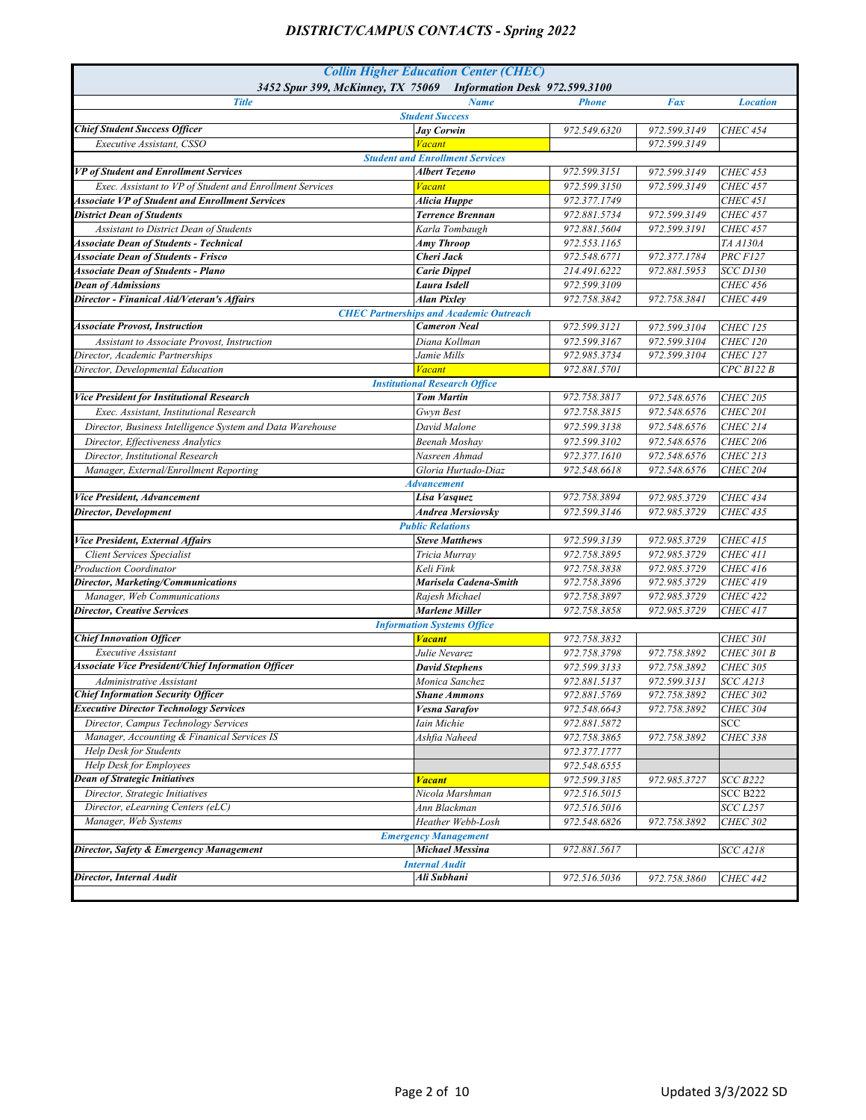| <b>Collin Higher Education Center (CHEC)</b><br>3452 Spur 399, McKinney, TX 75069 Information Desk 972.599.3100 |                                                |              |              |                   |
|-----------------------------------------------------------------------------------------------------------------|------------------------------------------------|--------------|--------------|-------------------|
| <b>Title</b>                                                                                                    | <b>Name</b>                                    | <b>Phone</b> | Fax          | <b>Location</b>   |
|                                                                                                                 | <b>Student Success</b>                         |              |              |                   |
| <b>Chief Student Success Officer</b>                                                                            | <b>Jay Corwin</b>                              | 972.549.6320 | 972.599.3149 | <b>CHEC 454</b>   |
| Executive Assistant, CSSO                                                                                       | <b>Vacant</b>                                  |              | 972.599.3149 |                   |
|                                                                                                                 | <b>Student and Enrollment Services</b>         |              |              |                   |
| VP of Student and Enrollment Services                                                                           | <b>Albert Tezeno</b>                           | 972.599.3151 | 972.599.3149 | <b>CHEC 453</b>   |
| Exec. Assistant to VP of Student and Enrollment Services                                                        | <b>Vacant</b>                                  | 972.599.3150 | 972.599.3149 | <b>CHEC 457</b>   |
| <b>Associate VP of Student and Enrollment Services</b>                                                          | Alicia Huppe                                   | 972.377.1749 |              | <b>CHEC 451</b>   |
| <b>District Dean of Students</b>                                                                                | <b>Terrence Brennan</b>                        | 972.881.5734 | 972.599.3149 | <b>CHEC 457</b>   |
| Assistant to District Dean of Students                                                                          | Karla Tombaugh                                 | 972.881.5604 | 972.599.3191 | <b>CHEC 457</b>   |
| <b>Associate Dean of Students - Technical</b>                                                                   | <b>Amy Throop</b>                              | 972.553.1165 |              | TA A130A          |
| <b>Associate Dean of Students - Frisco</b>                                                                      | Cheri Jack                                     | 972.548.6771 | 972.377.1784 | <b>PRC F127</b>   |
| <b>Associate Dean of Students - Plano</b>                                                                       | <b>Carie Dippel</b>                            | 214.491.6222 | 972.881.5953 | <b>SCC D130</b>   |
| <b>Dean of Admissions</b>                                                                                       | Laura Isdell                                   | 972.599.3109 |              | <b>CHEC 456</b>   |
| Director - Finanical Aid/Veteran's Affairs                                                                      | <b>Alan Pixley</b>                             | 972.758.3842 | 972.758.3841 | <b>CHEC 449</b>   |
|                                                                                                                 | <b>CHEC Partnerships and Academic Outreach</b> |              |              |                   |
| <b>Associate Provost, Instruction</b>                                                                           | <b>Cameron Neal</b>                            | 972.599.3121 | 972.599.3104 | <b>CHEC 125</b>   |
| Assistant to Associate Provost, Instruction                                                                     | Diana Kollman                                  | 972.599.3167 | 972.599.3104 | <b>CHEC 120</b>   |
| Director, Academic Partnerships                                                                                 | Jamie Mills                                    | 972.985.3734 | 972.599.3104 | <b>CHEC 127</b>   |
| Director, Developmental Education                                                                               | <b>Vacant</b>                                  | 972.881.5701 |              | CPC B122 B        |
|                                                                                                                 | <b>Institutional Research Office</b>           |              |              |                   |
| <b>Vice President for Institutional Research</b>                                                                | <b>Tom Martin</b>                              | 972.758.3817 | 972.548.6576 | <b>CHEC 205</b>   |
| Exec. Assistant. Institutional Research                                                                         | Gwyn Best                                      | 972.758.3815 | 972.548.6576 | <b>CHEC 201</b>   |
| Director, Business Intelligence System and Data Warehouse                                                       | David Malone                                   | 972.599.3138 | 972.548.6576 | <b>CHEC 214</b>   |
| Director, Effectiveness Analytics                                                                               | <b>Beenah Moshav</b>                           | 972.599.3102 | 972.548.6576 | <b>CHEC 206</b>   |
| Director, Institutional Research                                                                                | Nasreen Ahmad                                  | 972.377.1610 | 972.548.6576 | <b>CHEC 213</b>   |
| Manager, External/Enrollment Reporting                                                                          | Gloria Hurtado-Diaz                            | 972.548.6618 | 972.548.6576 | <b>CHEC 204</b>   |
|                                                                                                                 | <b>Advancement</b>                             |              |              |                   |
| Vice President, Advancement                                                                                     | Lisa Vasquez                                   | 972.758.3894 | 972.985.3729 | <b>CHEC 434</b>   |
| Director, Development                                                                                           | <b>Andrea Mersiovsky</b>                       | 972.599.3146 | 972.985.3729 | <b>CHEC 435</b>   |
|                                                                                                                 | <b>Public Relations</b>                        |              |              |                   |
| Vice President, External Affairs                                                                                | <b>Steve Matthews</b>                          | 972.599.3139 | 972.985.3729 | <b>CHEC 415</b>   |
| <b>Client Services Specialist</b>                                                                               | Tricia Murray                                  | 972.758.3895 | 972.985.3729 | <b>CHEC 411</b>   |
| <b>Production Coordinator</b>                                                                                   | Keli Fink                                      | 972.758.3838 | 972.985.3729 | <b>CHEC 416</b>   |
| Director, Marketing/Communications                                                                              | Marisela Cadena-Smith                          | 972.758.3896 | 972.985.3729 | <b>CHEC 419</b>   |
| Manager, Web Communications                                                                                     | Rajesh Michael                                 | 972.758.3897 | 972.985.3729 | <b>CHEC 422</b>   |
| <b>Director, Creative Services</b>                                                                              | <b>Marlene Miller</b>                          | 972.758.3858 | 972.985.3729 | <b>CHEC 417</b>   |
|                                                                                                                 | <b>Information Systems Office</b>              |              |              |                   |
| <b>Chief Innovation Officer</b>                                                                                 | <b>Vacant</b>                                  | 972.758.3832 |              | <b>CHEC 301</b>   |
| <b>Executive Assistant</b>                                                                                      | Julie Nevarez                                  | 972.758.3798 | 972.758.3892 | <b>CHEC 301 B</b> |
| <b>Associate Vice President/Chief Information Officer</b>                                                       | <b>David Stephens</b>                          | 972.599.3133 | 972.758.3892 | <b>CHEC 305</b>   |
| Administrative Assistant                                                                                        | Monica Sanchez                                 | 972.881.5137 | 972.599.3131 | <b>SCC A213</b>   |
| <b>Chief Information Security Officer</b>                                                                       | <b>Shane Ammons</b>                            | 972.881.5769 | 972.758.3892 | <i>CHEC 302</i>   |
| <b>Executive Director Technology Services</b>                                                                   | <b>Vesna Sarafov</b>                           | 972.548.6643 | 972.758.3892 | <b>CHEC 304</b>   |
| Director, Campus Technology Services                                                                            | Iain Michie                                    | 972.881.5872 |              | SCC               |
| Manager, Accounting & Finanical Services IS                                                                     | Ashfia Naheed                                  | 972.758.3865 | 972.758.3892 | <b>CHEC 338</b>   |
| Help Desk for Students                                                                                          |                                                | 972.377.1777 |              |                   |
| Help Desk for Employees                                                                                         |                                                | 972.548.6555 |              |                   |
| <b>Dean of Strategic Initiatives</b>                                                                            | <b>Vacant</b>                                  | 972.599.3185 | 972.985.3727 | SCC B222          |
| Director, Strategic Initiatives                                                                                 | Nicola Marshman                                | 972.516.5015 |              | <b>SCC B222</b>   |
| Director, eLearning Centers (eLC)                                                                               | Ann Blackman                                   | 972.516.5016 |              | <i>SCC L257</i>   |
| Manager, Web Systems                                                                                            | Heather Webb-Losh                              | 972.548.6826 | 972.758.3892 | <b>CHEC 302</b>   |
|                                                                                                                 | <b>Emergency Management</b>                    |              |              |                   |
| Director, Safety & Emergency Management                                                                         | <b>Michael Messina</b>                         | 972.881.5617 |              | <b>SCC A218</b>   |
|                                                                                                                 | <b>Internal Audit</b>                          |              |              |                   |
| Director, Internal Audit                                                                                        | Ali Subhani                                    | 972.516.5036 | 972.758.3860 | <b>CHEC 442</b>   |
|                                                                                                                 |                                                |              |              |                   |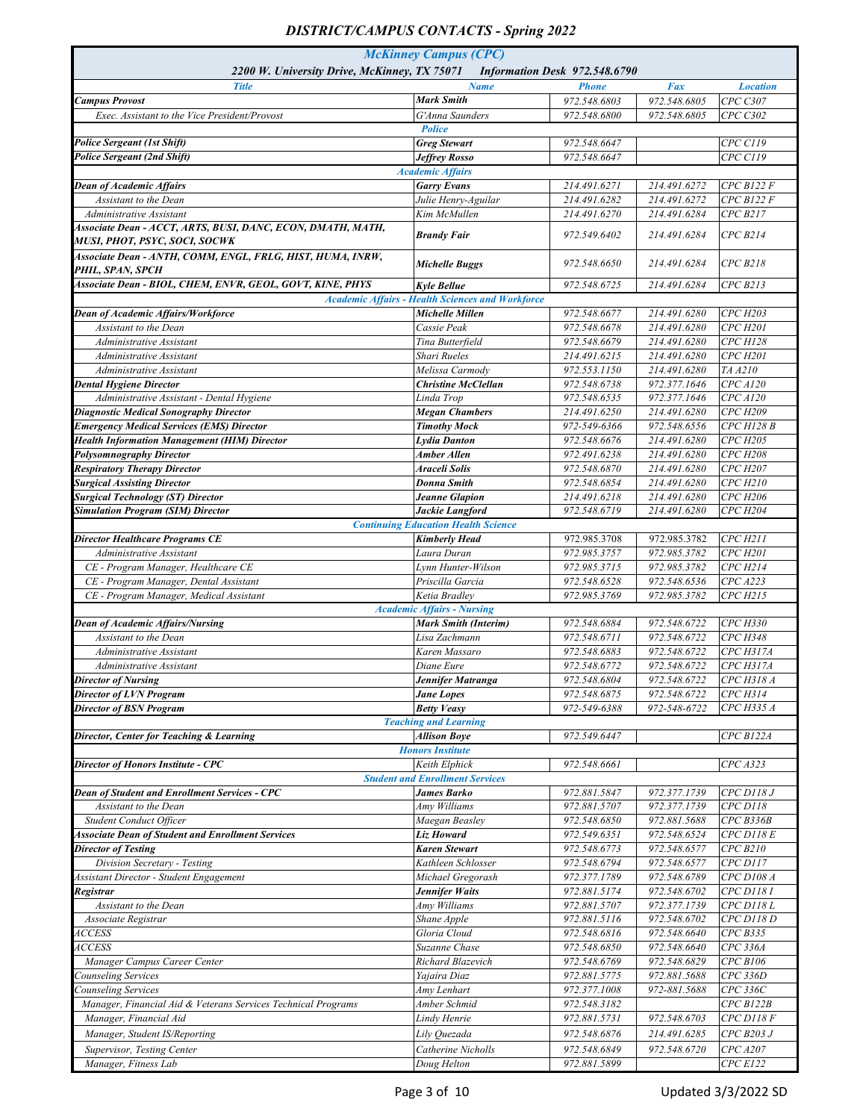| <b>McKinney Campus (CPC)</b><br>2200 W. University Drive, McKinney, TX 75071<br>Information Desk 972.548.6790 |                                                         |                              |                              |                            |
|---------------------------------------------------------------------------------------------------------------|---------------------------------------------------------|------------------------------|------------------------------|----------------------------|
| <b>Title</b>                                                                                                  | <b>Name</b>                                             | <b>Phone</b>                 | <b>Fax</b>                   | <b>Location</b>            |
| <b>Campus Provost</b>                                                                                         | <b>Mark Smith</b>                                       | 972.548.6803                 | 972.548.6805                 | CPC C307                   |
| Exec. Assistant to the Vice President/Provost                                                                 | G'Anna Saunders                                         | 972.548.6800                 | 972.548.6805                 | <b>CPC C302</b>            |
|                                                                                                               | <b>Police</b>                                           |                              |                              |                            |
| <b>Police Sergeant (1st Shift)</b><br><b>Police Sergeant (2nd Shift)</b>                                      | <b>Greg Stewart</b><br><b>Jeffrey Rosso</b>             | 972.548.6647<br>972.548.6647 |                              | CPC C119<br>CPC C119       |
|                                                                                                               | <b>Academic Affairs</b>                                 |                              |                              |                            |
| <b>Dean of Academic Affairs</b>                                                                               | <b>Garry Evans</b>                                      | 214.491.6271                 | 214.491.6272                 | CPCB122F                   |
| Assistant to the Dean                                                                                         | Julie Henry-Aguilar                                     | 214.491.6282                 | 214.491.6272                 | CPCB122F                   |
| Administrative Assistant                                                                                      | Kim McMullen                                            | 214.491.6270                 | 214.491.6284                 | CPCB217                    |
| Associate Dean - ACCT, ARTS, BUSI, DANC, ECON, DMATH, MATH,<br>MUSI, PHOT, PSYC, SOCI, SOCWK                  | <b>Brandy Fair</b>                                      | 972.549.6402                 | 214.491.6284                 | CPCB214                    |
| Associate Dean - ANTH, COMM, ENGL, FRLG, HIST, HUMA, INRW,<br>PHIL, SPAN, SPCH                                | Michelle Buggs                                          | 972.548.6650                 | 214.491.6284                 | <b>CPC B218</b>            |
| Associate Dean - BIOL, CHEM, ENVR, GEOL, GOVT, KINE, PHYS                                                     | <b>Kyle Bellue</b>                                      | 972.548.6725                 | 214.491.6284                 | CPCB213                    |
|                                                                                                               | <b>Academic Affairs - Health Sciences and Workforce</b> |                              |                              |                            |
| Dean of Academic Affairs/Workforce                                                                            | Michelle Millen                                         | 972.548.6677                 | 214.491.6280                 | <b>CPC H203</b>            |
| Assistant to the Dean                                                                                         | Cassie Peak                                             | 972.548.6678                 | 214.491.6280                 | <b>CPC H201</b>            |
| Administrative Assistant                                                                                      | Tina Butterfield                                        | 972.548.6679                 | 214.491.6280                 | <b>CPC H128</b>            |
| Administrative Assistant<br>Administrative Assistant                                                          | Shari Rueles<br>Melissa Carmody                         | 214.491.6215<br>972.553.1150 | 214.491.6280<br>214.491.6280 | <b>CPC H201</b><br>TA A210 |
| <b>Dental Hygiene Director</b>                                                                                | <b>Christine McClellan</b>                              | 972.548.6738                 | 972.377.1646                 | CPC A120                   |
| Administrative Assistant - Dental Hygiene                                                                     | Linda Trop                                              | 972.548.6535                 | 972.377.1646                 | CPCA120                    |
| <b>Diagnostic Medical Sonography Director</b>                                                                 | <b>Megan Chambers</b>                                   | 214.491.6250                 | 214.491.6280                 | <b>CPC H209</b>            |
| <b>Emergency Medical Services (EMS) Director</b>                                                              | <b>Timothy Mock</b>                                     | 972-549-6366                 | 972.548.6556                 | CPC H128 B                 |
| <b>Health Information Management (HIM) Director</b>                                                           | <b>Lydia Danton</b>                                     | 972.548.6676                 | 214.491.6280                 | CPC H205                   |
| <b>Polysomnography Director</b>                                                                               | Amber Allen                                             | 972.491.6238                 | 214.491.6280                 | <b>CPC H208</b>            |
| <b>Respiratory Therapy Director</b>                                                                           | Araceli Solis                                           | 972.548.6870                 | 214.491.6280                 | CPC H207                   |
| <b>Surgical Assisting Director</b>                                                                            | <b>Donna Smith</b>                                      | 972.548.6854                 | 214.491.6280                 | CPC H210                   |
| <b>Surgical Technology (ST) Director</b>                                                                      | Jeanne Glapion                                          | 214.491.6218                 | 214.491.6280                 | CPC H206                   |
| <b>Simulation Program (SIM) Director</b>                                                                      | Jackie Langford                                         | 972.548.6719                 | 214.491.6280                 | <b>CPC H204</b>            |
|                                                                                                               | <b>Continuing Education Health Science</b>              |                              |                              |                            |
| <b>Director Healthcare Programs CE</b>                                                                        | <b>Kimberly Head</b>                                    | 972.985.3708                 | 972.985.3782                 | <b>CPC H211</b>            |
| Administrative Assistant                                                                                      | Laura Duran                                             | 972.985.3757                 | 972.985.3782                 | <b>CPC H201</b>            |
| CE - Program Manager, Healthcare CE                                                                           | Lynn Hunter-Wilson                                      | 972.985.3715                 | 972.985.3782                 | CPC H214                   |
| CE - Program Manager, Dental Assistant                                                                        | Priscilla Garcia                                        | 972.548.6528                 | 972.548.6536                 | CPCA223                    |
| CE - Program Manager, Medical Assistant                                                                       | Ketia Bradlev<br><b>Academic Affairs - Nursing</b>      | 972.985.3769                 | 972.985.3782                 | CPC H215                   |
| <b>Dean of Academic Affairs/Nursing</b>                                                                       | <b>Mark Smith (Interim)</b>                             | 972.548.6884                 | 972.548.6722                 | CPC H330                   |
| Assistant to the Dean                                                                                         | Lisa Zachmann                                           | 972.548.6711                 | 972.548.6722                 | <b>CPC H348</b>            |
| Administrative Assistant                                                                                      | Karen Massaro                                           | 972.548.6883                 | 972.548.6722                 | CPC H317A                  |
| Administrative Assistant                                                                                      | Diane Eure                                              | 972.548.6772                 | 972.548.6722                 | CPC H317A                  |
| <b>Director of Nursing</b>                                                                                    | Jennifer Matranga                                       | 972.548.6804                 | 972.548.6722                 | <i>CPC H318 A</i>          |
| <b>Director of LVN Program</b>                                                                                | <b>Jane Lopes</b>                                       | 972.548.6875                 | 972.548.6722                 | CPC H314                   |
| <b>Director of BSN Program</b>                                                                                | <b>Betty Veasy</b>                                      | 972-549-6388                 | 972-548-6722                 | CPC H335 A                 |
|                                                                                                               | <b>Teaching and Learning</b>                            |                              |                              |                            |
| Director, Center for Teaching & Learning                                                                      | <b>Allison Boye</b>                                     | 972.549.6447                 |                              | CPCB122A                   |
|                                                                                                               | <b>Honors Institute</b>                                 |                              |                              |                            |
| <b>Director of Honors Institute - CPC</b>                                                                     | Keith Elphick                                           | 972.548.6661                 |                              | CPCA323                    |
|                                                                                                               | <b>Student and Enrollment Services</b>                  |                              |                              |                            |
| Dean of Student and Enrollment Services - CPC                                                                 | <b>James Barko</b>                                      | 972.881.5847                 | 972.377.1739                 | $CPC$ $D118J$              |
| Assistant to the Dean                                                                                         | Amy Williams                                            | 972.881.5707                 | 972.377.1739<br>972.881.5688 | $CPC$ $D118$               |
| Student Conduct Officer<br><b>Associate Dean of Student and Enrollment Services</b>                           | Maegan Beasley                                          | 972.548.6850                 | 972.548.6524                 | CPCB336B                   |
| <b>Director of Testing</b>                                                                                    | Liz Howard<br><b>Karen Stewart</b>                      | 972.549.6351<br>972.548.6773 | 972.548.6577                 | $CPC$ D118 $E$<br>CPC B210 |
| Division Secretary - Testing                                                                                  | Kathleen Schlosser                                      | 972.548.6794                 | 972.548.6577                 | <b>CPC</b> D117            |
| Assistant Director - Student Engagement                                                                       | Michael Gregorash                                       | 972.377.1789                 | 972.548.6789                 | CPC D108 A                 |
| Registrar                                                                                                     | Jennifer Waits                                          | 972.881.5174                 | 972.548.6702                 | CPC D1181                  |
| Assistant to the Dean                                                                                         | Amy Williams                                            | 972.881.5707                 | 972.377.1739                 | $CPC$ D118 L               |
| Associate Registrar                                                                                           | Shane Apple                                             | 972.881.5116                 | 972.548.6702                 | <b>CPC</b> D118 D          |
| <i>ACCESS</i>                                                                                                 | Gloria Cloud                                            | 972.548.6816                 | 972.548.6640                 | CPCB335                    |
| <i>ACCESS</i>                                                                                                 | Suzanne Chase                                           | 972.548.6850                 | 972.548.6640                 | CPC 336A                   |
| Manager Campus Career Center                                                                                  | Richard Blazevich                                       | 972.548.6769                 | 972.548.6829                 | CPCB106                    |
| Counseling Services                                                                                           | Yajaira Diaz                                            | 972.881.5775                 | 972.881.5688                 | CPC 336D                   |
| Counseling Services                                                                                           | Amy Lenhart                                             | 972.377.1008                 | 972-881.5688                 | CPC 336C                   |
| Manager, Financial Aid & Veterans Services Technical Programs                                                 | Amber Schmid                                            | 972.548.3182                 |                              | CPCB122B                   |
| Manager, Financial Aid                                                                                        | Lindy Henrie                                            | 972.881.5731                 | 972.548.6703                 | $CPC$ D118 $F$             |
| Manager, Student IS/Reporting                                                                                 | Lily Quezada                                            | 972.548.6876                 | 214.491.6285                 | CPC B203 J                 |
| Supervisor, Testing Center                                                                                    | Catherine Nicholls                                      | 972.548.6849                 | 972.548.6720                 | CPC A207                   |
| Manager, Fitness Lab                                                                                          | Doug Helton                                             | 972.881.5899                 |                              | CPC E122                   |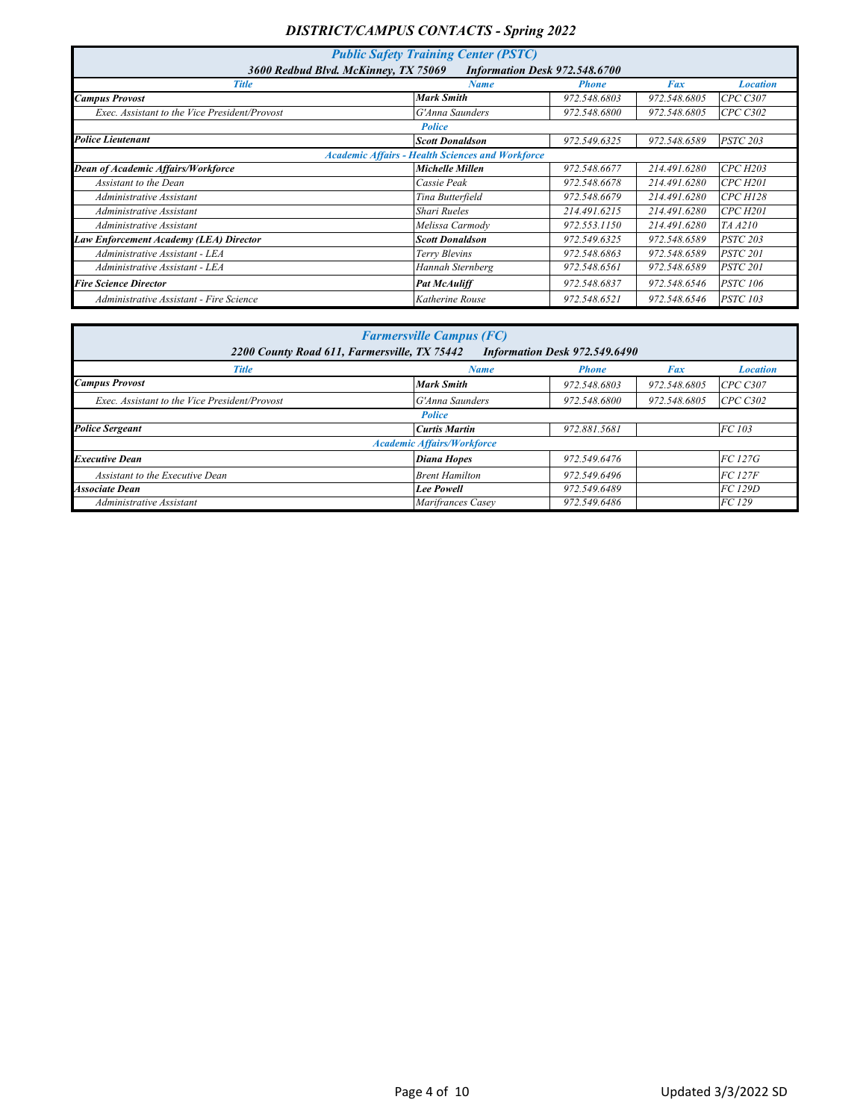| <b>Public Safety Training Center (PSTC)</b>                           |                                                         |              |              |                 |  |  |
|-----------------------------------------------------------------------|---------------------------------------------------------|--------------|--------------|-----------------|--|--|
| 3600 Redbud Blvd. McKinney, TX 75069<br>Information Desk 972,548,6700 |                                                         |              |              |                 |  |  |
| <b>Title</b>                                                          | <b>Name</b>                                             | <b>Phone</b> | Fax          | <b>Location</b> |  |  |
| <b>Campus Provost</b>                                                 | <b>Mark Smith</b>                                       | 972.548.6803 | 972.548.6805 | <b>CPC C307</b> |  |  |
| Exec. Assistant to the Vice President/Provost                         | G'Anna Saunders                                         | 972.548.6800 | 972.548.6805 | CPC C302        |  |  |
|                                                                       | <b>Police</b>                                           |              |              |                 |  |  |
| <b>Police Lieutenant</b>                                              | <b>Scott Donaldson</b>                                  | 972.549.6325 | 972.548.6589 | <b>PSTC 203</b> |  |  |
|                                                                       | <b>Academic Affairs - Health Sciences and Workforce</b> |              |              |                 |  |  |
| Dean of Academic Affairs/Workforce                                    | Michelle Millen                                         | 972.548.6677 | 214.491.6280 | <b>CPC H203</b> |  |  |
| Assistant to the Dean                                                 | Cassie Peak                                             | 972.548.6678 | 214.491.6280 | <b>CPC H201</b> |  |  |
| Administrative Assistant                                              | Tina Butterfield                                        | 972.548.6679 | 214.491.6280 | CPCH128         |  |  |
| Administrative Assistant                                              | Shari Rueles                                            | 214.491.6215 | 214.491.6280 | <b>CPC H201</b> |  |  |
| Administrative Assistant                                              | Melissa Carmody                                         | 972.553.1150 | 214.491.6280 | TA A210         |  |  |
| Law Enforcement Academy (LEA) Director                                | <b>Scott Donaldson</b>                                  | 972.549.6325 | 972.548.6589 | <b>PSTC 203</b> |  |  |
| Administrative Assistant - LEA                                        | Terry Blevins                                           | 972.548.6863 | 972.548.6589 | <b>PSTC 201</b> |  |  |
| Administrative Assistant - LEA                                        | Hannah Sternberg                                        | 972.548.6561 | 972.548.6589 | <i>PSTC 201</i> |  |  |
| <b>Fire Science Director</b>                                          | <b>Pat McAuliff</b>                                     | 972.548.6837 | 972.548.6546 | <b>PSTC 106</b> |  |  |
| Administrative Assistant - Fire Science                               | Katherine Rouse                                         | 972.548.6521 | 972.548.6546 | <b>PSTC 103</b> |  |  |

| <b>Farmersville Campus (FC)</b>               |                                                                               |              |              |                 |  |  |  |
|-----------------------------------------------|-------------------------------------------------------------------------------|--------------|--------------|-----------------|--|--|--|
|                                               | 2200 County Road 611, Farmersville, TX 75442<br>Information Desk 972,549,6490 |              |              |                 |  |  |  |
| <b>Title</b>                                  | <b>Name</b>                                                                   | <b>Phone</b> | Fax          | <b>Location</b> |  |  |  |
| <b>Campus Provost</b>                         | <b>Mark Smith</b>                                                             | 972.548.6803 | 972.548.6805 | CPC C307        |  |  |  |
| Exec. Assistant to the Vice President/Provost | G'Anna Saunders                                                               | 972.548.6800 | 972.548.6805 | CPC C302        |  |  |  |
|                                               | <b>Police</b>                                                                 |              |              |                 |  |  |  |
| <b>Police Sergeant</b>                        | <b>Curtis Martin</b>                                                          | 972.881.5681 |              | FC 103          |  |  |  |
|                                               | <b>Academic Affairs/Workforce</b>                                             |              |              |                 |  |  |  |
| <b>Executive Dean</b>                         | Diana Hopes                                                                   | 972.549.6476 |              | FC 127G         |  |  |  |
| Assistant to the Executive Dean               | <b>Brent Hamilton</b>                                                         | 972.549.6496 |              | FC 127F         |  |  |  |
| <b>Associate Dean</b>                         | <b>Lee Powell</b>                                                             | 972.549.6489 |              | FC 129D         |  |  |  |
| Administrative Assistant                      | Marifrances Casey                                                             | 972.549.6486 |              | FC 129          |  |  |  |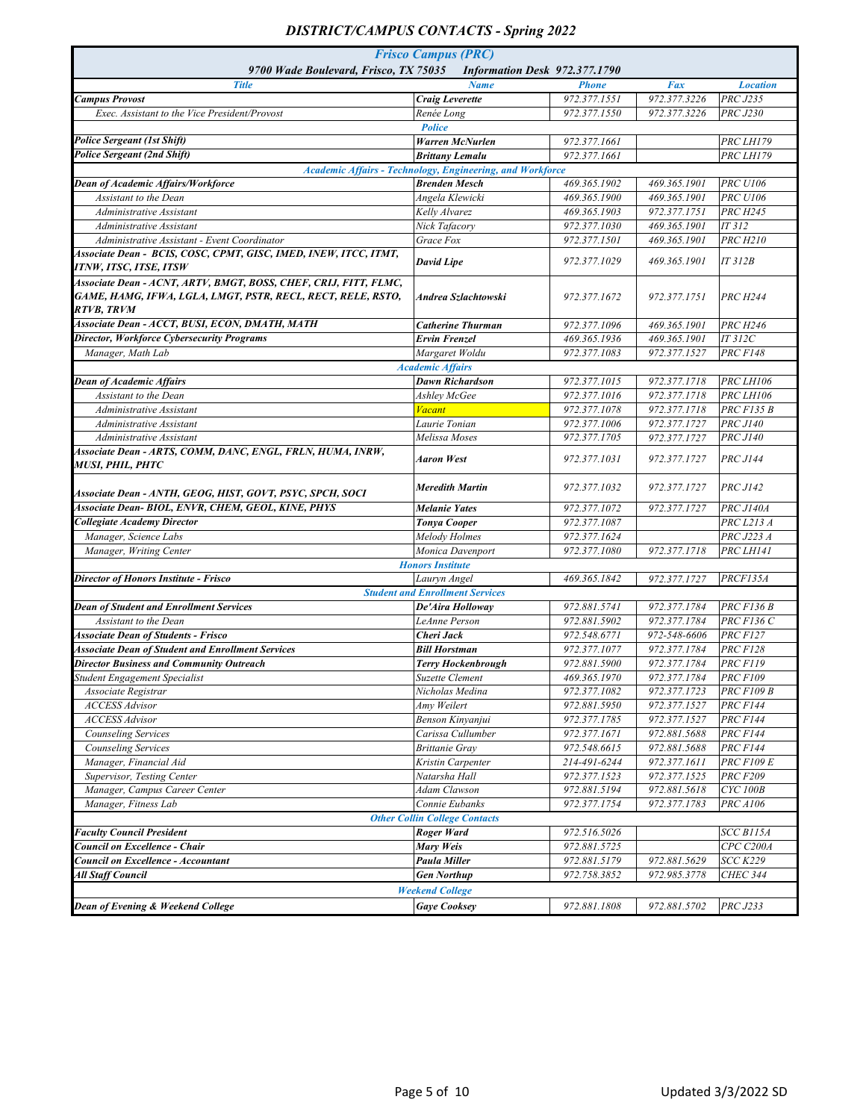| <b>Frisco Campus (PRC)</b>                                                                                                                    |                                                                                   |                               |              |                        |  |
|-----------------------------------------------------------------------------------------------------------------------------------------------|-----------------------------------------------------------------------------------|-------------------------------|--------------|------------------------|--|
| 9700 Wade Boulevard, Frisco, TX 75035                                                                                                         |                                                                                   | Information Desk 972.377.1790 |              |                        |  |
| <b>Title</b>                                                                                                                                  | <b>Name</b>                                                                       | <b>Phone</b>                  | Fax          | <b>Location</b>        |  |
| <b>Campus Provost</b>                                                                                                                         | <b>Craig Leverette</b>                                                            | 972.377.1551                  | 972.377.3226 | <b>PRC J235</b>        |  |
| Exec. Assistant to the Vice President/Provost                                                                                                 | Renée Long                                                                        | 972.377.1550                  | 972.377.3226 | <b>PRC J230</b>        |  |
| <b>Police Sergeant (1st Shift)</b>                                                                                                            | <b>Police</b>                                                                     |                               |              |                        |  |
| <b>Police Sergeant (2nd Shift)</b>                                                                                                            | <b>Warren McNurlen</b>                                                            | 972.377.1661<br>972.377.1661  |              | PRC LH179<br>PRC LH179 |  |
|                                                                                                                                               | <b>Brittany Lemalu</b>                                                            |                               |              |                        |  |
| Dean of Academic Affairs/Workforce                                                                                                            | Academic Affairs - Technology, Engineering, and Workforce<br><b>Brenden Mesch</b> | 469.365.1902                  | 469.365.1901 | <b>PRC U106</b>        |  |
| Assistant to the Dean                                                                                                                         | Angela Klewicki                                                                   | 469.365.1900                  | 469.365.1901 | <b>PRC U106</b>        |  |
| Administrative Assistant                                                                                                                      | Kelly Alvarez                                                                     | 469.365.1903                  | 972.377.1751 | <b>PRC H245</b>        |  |
| Administrative Assistant                                                                                                                      | Nick Tafacory                                                                     | 972.377.1030                  | 469.365.1901 | IT 312                 |  |
| Administrative Assistant - Event Coordinator                                                                                                  | Grace Fox                                                                         | 972.377.1501                  | 469.365.1901 | <b>PRC H210</b>        |  |
| Associate Dean - BCIS, COSC, CPMT, GISC, IMED, INEW, ITCC, ITMT,                                                                              |                                                                                   |                               |              |                        |  |
| ITNW, ITSC, ITSE, ITSW                                                                                                                        | <b>David Lipe</b>                                                                 | 972.377.1029                  | 469.365.1901 | IT 312B                |  |
| Associate Dean - ACNT, ARTV, BMGT, BOSS, CHEF, CRIJ, FITT, FLMC,<br>GAME, HAMG, IFWA, LGLA, LMGT, PSTR, RECL, RECT, RELE, RSTO,<br>RTVB, TRVM | Andrea Szlachtowski                                                               | 972.377.1672                  | 972.377.1751 | <b>PRC H244</b>        |  |
| Associate Dean - ACCT, BUSI, ECON, DMATH, MATH                                                                                                | <b>Catherine Thurman</b>                                                          | 972.377.1096                  | 469.365.1901 | <b>PRC H246</b>        |  |
| <b>Director, Workforce Cybersecurity Programs</b>                                                                                             | Ervin Frenzel                                                                     | 469.365.1936                  | 469.365.1901 | IT 312C                |  |
| Manager, Math Lab                                                                                                                             | Margaret Woldu                                                                    | 972.377.1083                  | 972.377.1527 | <b>PRC F148</b>        |  |
|                                                                                                                                               | <b>Academic Affairs</b>                                                           |                               |              |                        |  |
| <b>Dean of Academic Affairs</b>                                                                                                               | <b>Dawn Richardson</b>                                                            | 972.377.1015                  | 972.377.1718 | PRC LH106              |  |
| Assistant to the Dean                                                                                                                         | Ashley McGee                                                                      | 972.377.1016                  | 972.377.1718 | PRC LH106              |  |
| Administrative Assistant                                                                                                                      | <b>Vacant</b>                                                                     | 972.377.1078                  | 972.377.1718 | $PRC$ $F135B$          |  |
| Administrative Assistant                                                                                                                      | Laurie Tonian                                                                     | 972.377.1006                  | 972.377.1727 | <b>PRC J140</b>        |  |
| Administrative Assistant                                                                                                                      | Melissa Moses                                                                     | 972.377.1705                  | 972.377.1727 | <b>PRC J140</b>        |  |
| Associate Dean - ARTS, COMM, DANC, ENGL, FRLN, HUMA, INRW,<br>MUSI, PHIL, PHTC                                                                | Aaron West                                                                        | 972.377.1031                  | 972.377.1727 | <b>PRC J144</b>        |  |
| Associate Dean - ANTH, GEOG, HIST, GOVT, PSYC, SPCH, SOCI                                                                                     | Meredith Martin                                                                   | 972.377.1032                  | 972.377.1727 | <b>PRC J142</b>        |  |
| Associate Dean- BIOL, ENVR, CHEM, GEOL, KINE, PHYS                                                                                            | <b>Melanie Yates</b>                                                              | 972.377.1072                  | 972.377.1727 | <b>PRC J140A</b>       |  |
| <b>Collegiate Academy Director</b>                                                                                                            | Tonya Cooper                                                                      | 972.377.1087                  |              | PRC L213 A             |  |
| Manager, Science Labs                                                                                                                         | Melody Holmes                                                                     | 972.377.1624                  |              | PRC J223 A             |  |
| Manager, Writing Center                                                                                                                       | Monica Davenport                                                                  | 972.377.1080                  | 972.377.1718 | PRC LH141              |  |
|                                                                                                                                               | <b>Honors Institute</b>                                                           |                               |              |                        |  |
| <b>Director of Honors Institute - Frisco</b>                                                                                                  | Lauryn Angel                                                                      | 469.365.1842                  | 972.377.1727 | PRCF135A               |  |
|                                                                                                                                               | <b>Student and Enrollment Services</b>                                            |                               |              |                        |  |
| <b>Dean of Student and Enrollment Services</b>                                                                                                | De'Aira Holloway                                                                  | 972.881.5741                  | 972.377.1784 | $PRC$ $F136B$          |  |
| Assistant to the Dean                                                                                                                         | LeAnne Person                                                                     | 972.881.5902                  | 972.377.1784 | <b>PRC F136 C</b>      |  |
| <b>Associate Dean of Students - Frisco</b>                                                                                                    | Cheri Jack                                                                        | 972.548.6771                  | 972-548-6606 | <b>PRC F127</b>        |  |
| <b>Associate Dean of Student and Enrollment Services</b>                                                                                      | <b>Bill Horstman</b>                                                              | 972.377.1077                  | 972.377.1784 | <b>PRC F128</b>        |  |
| <b>Director Business and Community Outreach</b>                                                                                               | <b>Terry Hockenbrough</b>                                                         | 972.881.5900                  | 972.377.1784 | <b>PRC F119</b>        |  |
| <b>Student Engagement Specialist</b>                                                                                                          | <i><b>Suzette Clement</b></i>                                                     | 469.365.1970                  | 972.377.1784 | <i>PRC F109</i>        |  |
| Associate Registrar                                                                                                                           | Nicholas Medina                                                                   | 972.377.1082                  | 972.377.1723 | <b>PRC F109 B</b>      |  |
| <b>ACCESS Advisor</b>                                                                                                                         | Amy Weilert                                                                       | 972.881.5950                  | 972.377.1527 | <b>PRC F144</b>        |  |
| <b>ACCESS Advisor</b>                                                                                                                         | Benson Kinyanjui                                                                  | 972.377.1785                  | 972.377.1527 | <b>PRC F144</b>        |  |
| <b>Counseling Services</b>                                                                                                                    | Carissa Cullumber                                                                 | 972.377.1671                  | 972.881.5688 | <b>PRC F144</b>        |  |
| <b>Counseling Services</b>                                                                                                                    | <b>Brittanie Gray</b>                                                             | 972.548.6615                  | 972.881.5688 | <b>PRC F144</b>        |  |
| Manager, Financial Aid                                                                                                                        | Kristin Carpenter                                                                 | 214-491-6244                  | 972.377.1611 | <b>PRC F109 E</b>      |  |
| Supervisor, Testing Center                                                                                                                    | Natarsha Hall                                                                     | 972.377.1523                  | 972.377.1525 | <b>PRC F209</b>        |  |
| Manager, Campus Career Center                                                                                                                 | Adam Clawson                                                                      | 972.881.5194                  | 972.881.5618 | <b>CYC 100B</b>        |  |
| Manager, Fitness Lab                                                                                                                          | Connie Eubanks                                                                    | 972.377.1754                  | 972.377.1783 | PRC A106               |  |
| <b>Other Collin College Contacts</b>                                                                                                          |                                                                                   |                               |              |                        |  |
| <b>Faculty Council President</b>                                                                                                              | <b>Roger Ward</b>                                                                 | 972.516.5026                  |              | <b>SCC B115A</b>       |  |
| Council on Excellence - Chair                                                                                                                 | Mary Weis                                                                         | 972.881.5725                  |              | CPC C200A              |  |
| Council on Excellence - Accountant                                                                                                            | Paula Miller                                                                      | 972.881.5179                  | 972.881.5629 | <b>SCC K229</b>        |  |
| <b>All Staff Council</b>                                                                                                                      | <b>Gen Northup</b>                                                                | 972.758.3852                  | 972.985.3778 | <b>CHEC 344</b>        |  |
|                                                                                                                                               | <b>Weekend College</b>                                                            |                               |              |                        |  |
| Dean of Evening & Weekend College                                                                                                             | <b>Gaye Cooksey</b>                                                               | 972.881.1808                  | 972.881.5702 | PRC J233               |  |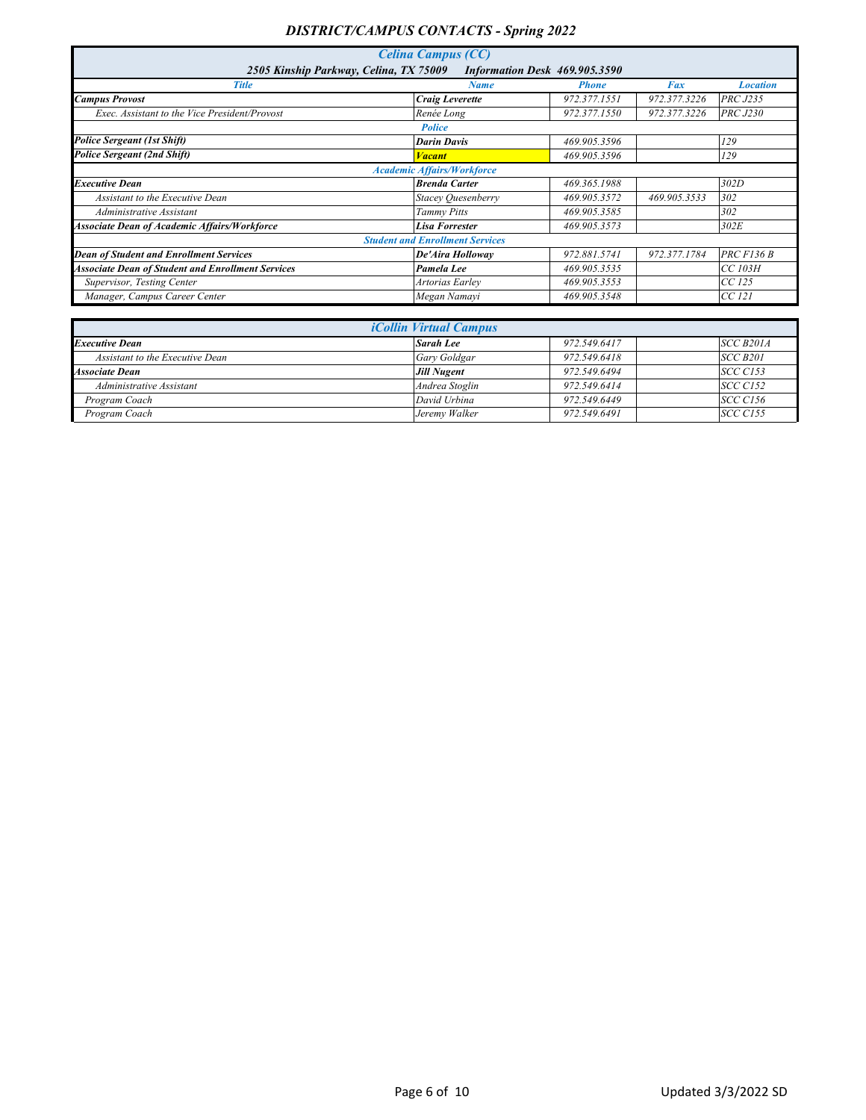| <b>Celina Campus (CC)</b>                                               |                                        |              |              |                 |  |  |
|-------------------------------------------------------------------------|----------------------------------------|--------------|--------------|-----------------|--|--|
| 2505 Kinship Parkway, Celina, TX 75009<br>Information Desk 469.905.3590 |                                        |              |              |                 |  |  |
| <b>Title</b>                                                            | <b>Name</b>                            | <b>Phone</b> | Fax          | <b>Location</b> |  |  |
| <b>Campus Provost</b>                                                   | <b>Craig Leverette</b>                 | 972.377.1551 | 972.377.3226 | <b>PRC J235</b> |  |  |
| Exec. Assistant to the Vice President/Provost                           | Renée Long                             | 972.377.1550 | 972.377.3226 | <b>PRC J230</b> |  |  |
|                                                                         | <b>Police</b>                          |              |              |                 |  |  |
| <b>Police Sergeant (1st Shift)</b>                                      | <b>Darin Davis</b>                     | 469.905.3596 |              | 129             |  |  |
| <b>Police Sergeant (2nd Shift)</b>                                      | <b>Vacant</b>                          | 469.905.3596 |              | 129             |  |  |
|                                                                         | <b>Academic Affairs/Workforce</b>      |              |              |                 |  |  |
| <b>Executive Dean</b>                                                   | <b>Brenda Carter</b>                   | 469.365.1988 |              | 302D            |  |  |
| Assistant to the Executive Dean                                         | Stacey Quesenberry                     | 469.905.3572 | 469.905.3533 | 302             |  |  |
| Administrative Assistant                                                | <b>Tammy Pitts</b>                     | 469.905.3585 |              | 302             |  |  |
| <b>Associate Dean of Academic Affairs/Workforce</b>                     | <b>Lisa Forrester</b>                  | 469.905.3573 |              | 302E            |  |  |
|                                                                         | <b>Student and Enrollment Services</b> |              |              |                 |  |  |
| <b>Dean of Student and Enrollment Services</b>                          | De'Aira Holloway                       | 972.881.5741 | 972.377.1784 | $PRC$ $F136B$   |  |  |
| <b>Associate Dean of Student and Enrollment Services</b>                | Pamela Lee                             | 469.905.3535 |              | CC 103H         |  |  |
| Supervisor, Testing Center                                              | Artorias Earlev                        | 469.905.3553 |              | $CC$ 125        |  |  |
| Manager, Campus Career Center                                           | Megan Namayi                           | 469.905.3548 |              | CC 121          |  |  |

| <i>iCollin Virtual Campus</i>   |                    |              |                 |  |
|---------------------------------|--------------------|--------------|-----------------|--|
| <b>Executive Dean</b>           | <b>Sarah Lee</b>   | 972.549.6417 | SCC B201A       |  |
| Assistant to the Executive Dean | Gary Goldgar       | 972.549.6418 | SCC B201        |  |
| <b>Associate Dean</b>           | <b>Jill Nugent</b> | 972.549.6494 | <b>SCC C153</b> |  |
| Administrative Assistant        | Andrea Stoglin     | 972.549.6414 | <b>SCC C152</b> |  |
| Program Coach                   | David Urbina       | 972.549.6449 | <b>SCC C156</b> |  |
| Program Coach                   | Jeremy Walker      | 972.549.6491 | <b>SCC C155</b> |  |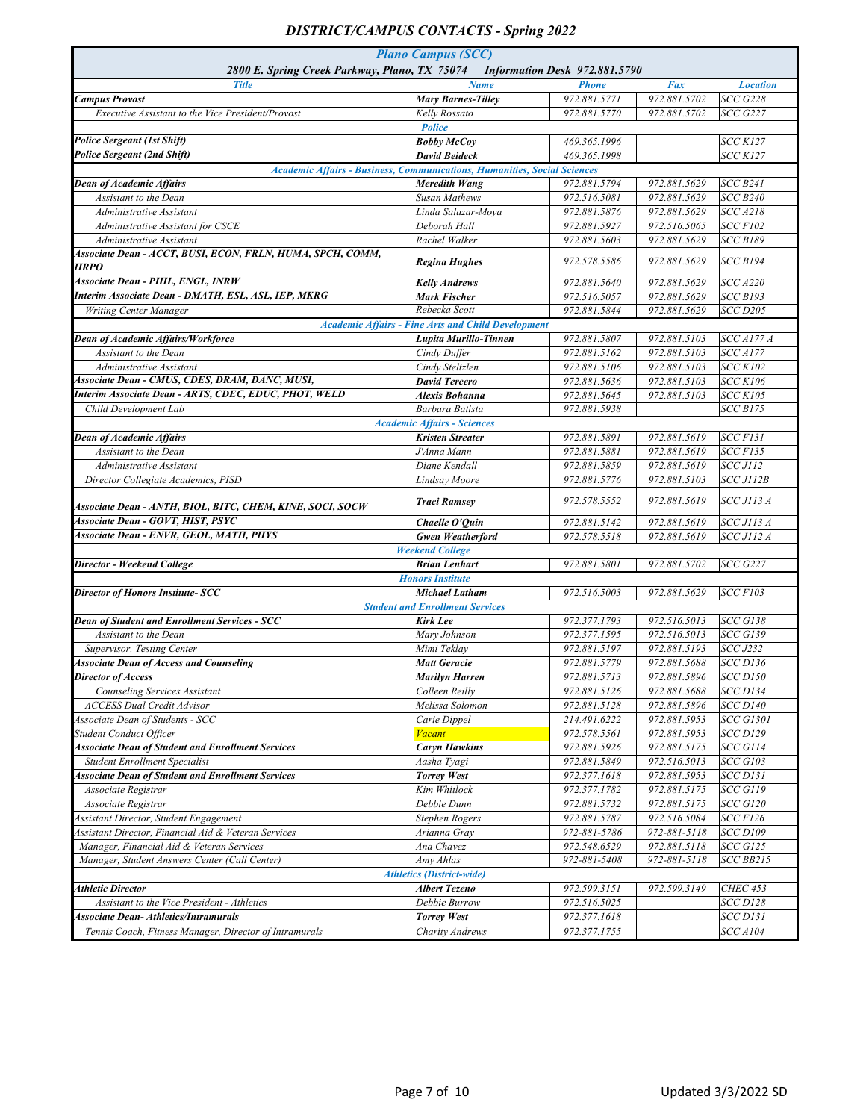| <b>Plano Campus (SCC)</b><br>2800 E. Spring Creek Parkway, Plano, TX 75074<br>Information Desk 972.881.5790 |                                                                                 |              |              |                   |  |
|-------------------------------------------------------------------------------------------------------------|---------------------------------------------------------------------------------|--------------|--------------|-------------------|--|
| <b>Title</b>                                                                                                | <b>Name</b>                                                                     | <b>Phone</b> | Fax          | <b>Location</b>   |  |
| <b>Campus Provost</b>                                                                                       | <b>Mary Barnes-Tilley</b>                                                       | 972.881.5771 | 972.881.5702 | <b>SCC G228</b>   |  |
| Executive Assistant to the Vice President/Provost                                                           | Kelly Rossato                                                                   | 972.881.5770 | 972.881.5702 | <b>SCC G227</b>   |  |
|                                                                                                             | <b>Police</b>                                                                   |              |              |                   |  |
| <b>Police Sergeant (1st Shift)</b>                                                                          | <b>Bobby McCoy</b>                                                              | 469.365.1996 |              | <b>SCC K127</b>   |  |
| <b>Police Sergeant (2nd Shift)</b>                                                                          | <b>David Beideck</b>                                                            | 469.365.1998 |              | <b>SCC K127</b>   |  |
|                                                                                                             | <b>Academic Affairs - Business, Communications, Humanities, Social Sciences</b> |              |              |                   |  |
| <b>Dean of Academic Affairs</b>                                                                             | Meredith Wang                                                                   | 972.881.5794 | 972.881.5629 | <b>SCC B241</b>   |  |
| Assistant to the Dean                                                                                       | <b>Susan Mathews</b>                                                            | 972.516.5081 | 972.881.5629 | <b>SCC B240</b>   |  |
| Administrative Assistant                                                                                    | Linda Salazar-Mova                                                              | 972.881.5876 | 972.881.5629 | <b>SCC A218</b>   |  |
| Administrative Assistant for CSCE                                                                           | Deborah Hall                                                                    | 972.881.5927 | 972.516.5065 | <b>SCC F102</b>   |  |
| Administrative Assistant                                                                                    | Rachel Walker                                                                   | 972.881.5603 | 972.881.5629 | <b>SCC B189</b>   |  |
| Associate Dean - ACCT, BUSI, ECON, FRLN, HUMA, SPCH, COMM,<br><b>HRPO</b>                                   | <b>Regina Hughes</b>                                                            | 972.578.5586 | 972.881.5629 | <b>SCC B194</b>   |  |
| <b>Associate Dean - PHIL, ENGL, INRW</b>                                                                    | <b>Kelly Andrews</b>                                                            | 972.881.5640 | 972.881.5629 | <b>SCC A220</b>   |  |
| Interim Associate Dean - DMATH, ESL, ASL, IEP, MKRG                                                         | Mark Fischer                                                                    | 972.516.5057 | 972.881.5629 | <b>SCC B193</b>   |  |
| Writing Center Manager                                                                                      | Rebecka Scott                                                                   | 972.881.5844 | 972.881.5629 | <b>SCC D205</b>   |  |
|                                                                                                             | <b>Academic Affairs - Fine Arts and Child Development</b>                       |              |              |                   |  |
| <b>Dean of Academic Affairs/Workforce</b>                                                                   | Lupita Murillo-Tinnen                                                           | 972.881.5807 | 972.881.5103 | <b>SCC A177 A</b> |  |
| Assistant to the Dean                                                                                       | Cindy Duffer                                                                    | 972.881.5162 | 972.881.5103 | <b>SCC A177</b>   |  |
| Administrative Assistant                                                                                    | Cindy Steltzlen                                                                 | 972.881.5106 | 972.881.5103 | <b>SCC K102</b>   |  |
| Associate Dean - CMUS, CDES, DRAM, DANC, MUSI,                                                              | <b>David Tercero</b>                                                            | 972.881.5636 | 972.881.5103 | <b>SCC K106</b>   |  |
| Interim Associate Dean - ARTS, CDEC, EDUC, PHOT, WELD                                                       | Alexis Bohanna                                                                  | 972.881.5645 | 972.881.5103 | <b>SCC K105</b>   |  |
| Child Development Lab                                                                                       | Barbara Batista                                                                 | 972.881.5938 |              | <b>SCC B175</b>   |  |
|                                                                                                             | <b>Academic Affairs - Sciences</b>                                              |              |              |                   |  |
| <b>Dean of Academic Affairs</b>                                                                             | <b>Kristen Streater</b>                                                         | 972.881.5891 | 972.881.5619 | <b>SCC F131</b>   |  |
| Assistant to the Dean                                                                                       | J'Anna Mann                                                                     | 972.881.5881 | 972.881.5619 | <b>SCC F135</b>   |  |
| Administrative Assistant                                                                                    | Diane Kendall                                                                   | 972.881.5859 | 972.881.5619 | <b>SCC J112</b>   |  |
| Director Collegiate Academics, PISD                                                                         | Lindsay Moore                                                                   | 972.881.5776 | 972.881.5103 | SCC J112B         |  |
|                                                                                                             |                                                                                 |              |              |                   |  |
| Associate Dean - ANTH, BIOL, BITC, CHEM, KINE, SOCI, SOCW                                                   | <b>Traci Ramsey</b>                                                             | 972.578.5552 | 972.881.5619 | <b>SCC J113 A</b> |  |
| <b>Associate Dean - GOVT, HIST, PSYC</b>                                                                    | Chaelle O'Quin                                                                  | 972.881.5142 | 972.881.5619 | <b>SCC J113 A</b> |  |
| Associate Dean - ENVR, GEOL, MATH, PHYS                                                                     | <b>Gwen Weatherford</b>                                                         | 972.578.5518 | 972.881.5619 | <b>SCC J112 A</b> |  |
|                                                                                                             | <b>Weekend College</b>                                                          |              |              |                   |  |
| <b>Director - Weekend College</b>                                                                           | <b>Brian Lenhart</b>                                                            | 972.881.5801 | 972.881.5702 | <b>SCC G227</b>   |  |
|                                                                                                             | <b>Honors Institute</b>                                                         |              |              |                   |  |
| <b>Director of Honors Institute- SCC</b>                                                                    | <b>Michael Latham</b>                                                           | 972.516.5003 | 972.881.5629 | <b>SCC F103</b>   |  |
|                                                                                                             | <b>Student and Enrollment Services</b>                                          |              |              |                   |  |
| Dean of Student and Enrollment Services - SCC                                                               | <b>Kirk Lee</b>                                                                 | 972.377.1793 | 972.516.5013 | <b>SCC G138</b>   |  |
| Assistant to the Dean                                                                                       | Mary Johnson                                                                    | 972.377.1595 | 972.516.5013 | <b>SCC G139</b>   |  |
| Supervisor, Testing Center                                                                                  | Mimi Teklay                                                                     | 972.881.5197 | 972.881.5193 | <b>SCC J232</b>   |  |
| <b>Associate Dean of Access and Counseling</b>                                                              | <b>Matt Geracie</b>                                                             | 972.881.5779 | 972.881.5688 | <b>SCC D136</b>   |  |
| <b>Director of Access</b>                                                                                   | Marilyn Harren                                                                  | 972.881.5713 | 972.881.5896 | $SCC$ $D150$      |  |
| Counseling Services Assistant                                                                               | Colleen Reilly                                                                  | 972.881.5126 | 972.881.5688 | <b>SCC D134</b>   |  |
| <b>ACCESS Dual Credit Advisor</b>                                                                           | Melissa Solomon                                                                 | 972.881.5128 | 972.881.5896 | <b>SCC D140</b>   |  |
| Associate Dean of Students - SCC                                                                            | Carie Dippel                                                                    | 214.491.6222 | 972.881.5953 | <b>SCC G1301</b>  |  |
| Student Conduct Officer                                                                                     | <b>Vacant</b>                                                                   | 972.578.5561 | 972.881.5953 | <b>SCC D129</b>   |  |
| <b>Associate Dean of Student and Enrollment Services</b>                                                    | <b>Caryn Hawkins</b>                                                            | 972.881.5926 | 972.881.5175 | <b>SCC G114</b>   |  |
| <b>Student Enrollment Specialist</b>                                                                        | Aasha Tyagi                                                                     | 972.881.5849 | 972.516.5013 | <b>SCC G103</b>   |  |
| <b>Associate Dean of Student and Enrollment Services</b>                                                    | <b>Torrey West</b>                                                              | 972.377.1618 | 972.881.5953 | $SCC$ $D131$      |  |
| Associate Registrar                                                                                         | Kim Whitlock                                                                    | 972.377.1782 | 972.881.5175 | <b>SCC G119</b>   |  |
| Associate Registrar                                                                                         | Debbie Dunn                                                                     | 972.881.5732 | 972.881.5175 | <b>SCC G120</b>   |  |
| Assistant Director, Student Engagement                                                                      | Stephen Rogers                                                                  | 972.881.5787 | 972.516.5084 | <b>SCC F126</b>   |  |
| Assistant Director, Financial Aid & Veteran Services                                                        | Arianna Gray                                                                    | 972-881-5786 | 972-881-5118 | <b>SCC D109</b>   |  |
| Manager, Financial Aid & Veteran Services                                                                   |                                                                                 |              |              |                   |  |
|                                                                                                             | Ana Chavez                                                                      | 972.548.6529 | 972.881.5118 | <b>SCC G125</b>   |  |
| Manager, Student Answers Center (Call Center)                                                               | Amy Ahlas                                                                       | 972-881-5408 | 972-881-5118 | SCC BB215         |  |
|                                                                                                             | <b>Athletics (District-wide)</b>                                                |              |              |                   |  |
| <b>Athletic Director</b>                                                                                    | <b>Albert Tezeno</b>                                                            | 972.599.3151 | 972.599.3149 | <b>CHEC 453</b>   |  |
| Assistant to the Vice President - Athletics                                                                 | Debbie Burrow                                                                   | 972.516.5025 |              | <b>SCC D128</b>   |  |
| <b>Associate Dean- Athletics/Intramurals</b>                                                                | <b>Torrey West</b>                                                              | 972.377.1618 |              | <b>SCC D131</b>   |  |
| Tennis Coach, Fitness Manager, Director of Intramurals                                                      | <b>Charity Andrews</b>                                                          | 972.377.1755 |              | <b>SCC A104</b>   |  |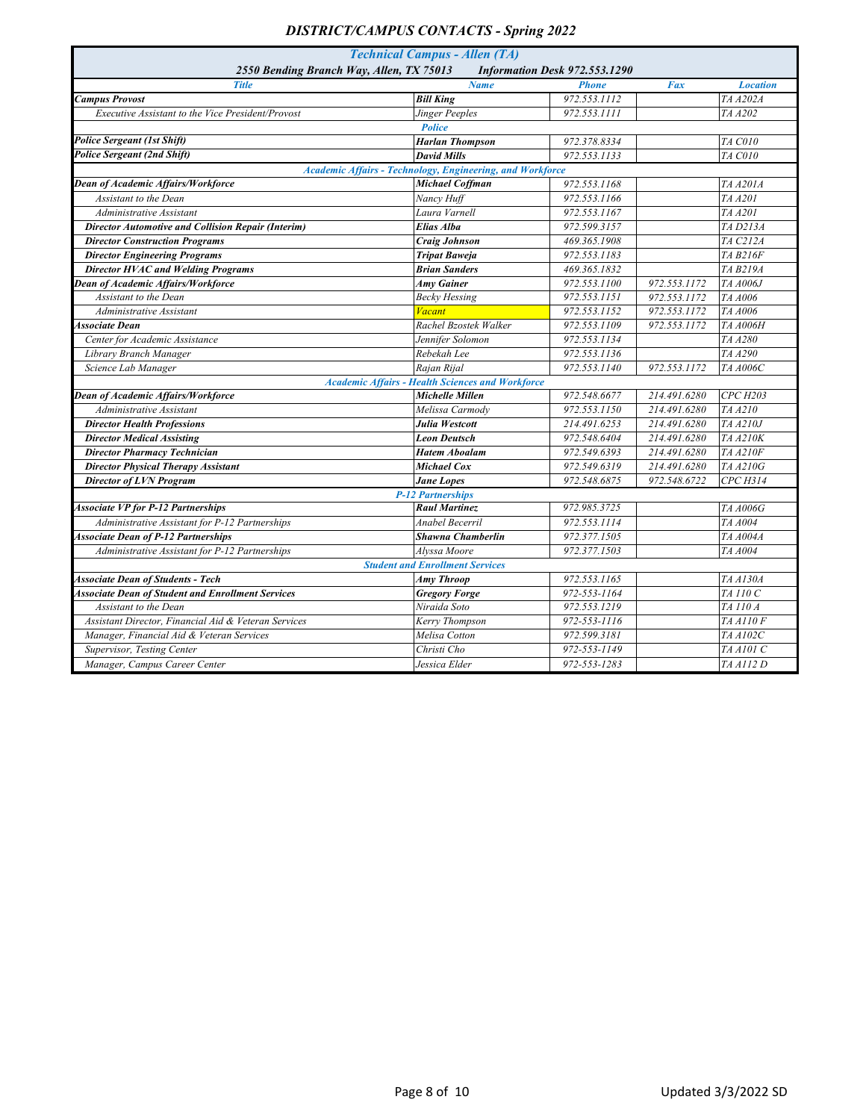| <b>Technical Campus - Allen (TA)</b>                                      |                                                           |              |              |                  |  |  |
|---------------------------------------------------------------------------|-----------------------------------------------------------|--------------|--------------|------------------|--|--|
| 2550 Bending Branch Way, Allen, TX 75013<br>Information Desk 972.553.1290 |                                                           |              |              |                  |  |  |
| <b>Title</b>                                                              | <b>Name</b>                                               | <b>Phone</b> | Fax          | <b>Location</b>  |  |  |
| <b>Campus Provost</b>                                                     | <b>Bill King</b>                                          | 972.553.1112 |              | TA A202A         |  |  |
| Executive Assistant to the Vice President/Provost                         | Jinger Peeples                                            | 972.553.1111 |              | TA A202          |  |  |
|                                                                           | <b>Police</b>                                             |              |              |                  |  |  |
| <b>Police Sergeant (1st Shift)</b>                                        | <b>Harlan Thompson</b>                                    | 972.378.8334 |              | TA C010          |  |  |
| <b>Police Sergeant (2nd Shift)</b>                                        | <b>David Mills</b>                                        | 972.553.1133 |              | TA C010          |  |  |
|                                                                           | Academic Affairs - Technology, Engineering, and Workforce |              |              |                  |  |  |
| Dean of Academic Affairs/Workforce                                        | <b>Michael Coffman</b>                                    | 972.553.1168 |              | TA A201A         |  |  |
| Assistant to the Dean                                                     | Nancy Huff                                                | 972.553.1166 |              | TA A201          |  |  |
| Administrative Assistant                                                  | Laura Varnell                                             | 972.553.1167 |              | TA A201          |  |  |
| <b>Director Automotive and Collision Repair (Interim)</b>                 | Elias Alba                                                | 972.599.3157 |              | TA D213A         |  |  |
| <b>Director Construction Programs</b>                                     | <b>Craig Johnson</b>                                      | 469.365.1908 |              | TA C212A         |  |  |
| <b>Director Engineering Programs</b>                                      | <b>Tripat Baweja</b>                                      | 972.553.1183 |              | <b>TA B216F</b>  |  |  |
| <b>Director HVAC and Welding Programs</b>                                 | <b>Brian Sanders</b>                                      | 469.365.1832 |              | TA B219A         |  |  |
| <b>Dean of Academic Affairs/Workforce</b>                                 | <b>Amy Gainer</b>                                         | 972.553.1100 | 972.553.1172 | TA A006J         |  |  |
| Assistant to the Dean                                                     | <b>Becky Hessing</b>                                      | 972.553.1151 | 972.553.1172 | TA A006          |  |  |
| Administrative Assistant                                                  | <b>Vacant</b>                                             | 972.553.1152 | 972.553.1172 | TA A006          |  |  |
| <b>Associate Dean</b>                                                     | Rachel Bzostek Walker                                     | 972.553.1109 | 972.553.1172 | <b>TA A006H</b>  |  |  |
| Center for Academic Assistance                                            | Jennifer Solomon                                          | 972.553.1134 |              | TA A280          |  |  |
| Library Branch Manager                                                    | Rebekah Lee                                               | 972.553.1136 |              | TA A290          |  |  |
| Science Lab Manager                                                       | Rajan Rijal                                               | 972.553.1140 | 972.553.1172 | <b>TA A006C</b>  |  |  |
|                                                                           | <b>Academic Affairs - Health Sciences and Workforce</b>   |              |              |                  |  |  |
| Dean of Academic Affairs/Workforce                                        | Michelle Millen                                           | 972.548.6677 | 214.491.6280 | <b>CPC H203</b>  |  |  |
| Administrative Assistant                                                  | Melissa Carmodv                                           | 972.553.1150 | 214.491.6280 | TA A210          |  |  |
| <b>Director Health Professions</b>                                        | Julia Westcott                                            | 214.491.6253 | 214.491.6280 | TA A210J         |  |  |
| <b>Director Medical Assisting</b>                                         | <b>Leon Deutsch</b>                                       | 972.548.6404 | 214.491.6280 | TA A210K         |  |  |
| <b>Director Pharmacy Technician</b>                                       | <b>Hatem Aboalam</b>                                      | 972.549.6393 | 214.491.6280 | <b>TA A210F</b>  |  |  |
| <b>Director Physical Therapy Assistant</b>                                | Michael Cox                                               | 972.549.6319 | 214.491.6280 | TA A210G         |  |  |
| <b>Director of LVN Program</b>                                            | <b>Jane Lopes</b>                                         | 972.548.6875 | 972.548.6722 | CPC H314         |  |  |
|                                                                           | <b>P-12 Partnerships</b>                                  |              |              |                  |  |  |
| <b>Associate VP for P-12 Partnerships</b>                                 | <b>Raul Martinez</b>                                      | 972.985.3725 |              | <b>TA A006G</b>  |  |  |
| Administrative Assistant for P-12 Partnerships                            | Anabel Becerril                                           | 972.553.1114 |              | TA A004          |  |  |
| <b>Associate Dean of P-12 Partnerships</b>                                | <b>Shawna Chamberlin</b>                                  | 972.377.1505 |              | TA A004A         |  |  |
| Administrative Assistant for P-12 Partnerships                            | Alvssa Moore                                              | 972.377.1503 |              | TA A004          |  |  |
|                                                                           | <b>Student and Enrollment Services</b>                    |              |              |                  |  |  |
| <b>Associate Dean of Students - Tech</b>                                  | <b>Amy Throop</b>                                         | 972.553.1165 |              | TA A130A         |  |  |
| <b>Associate Dean of Student and Enrollment Services</b>                  | <b>Gregory Forge</b>                                      | 972-553-1164 |              | TA 110 C         |  |  |
| Assistant to the Dean                                                     | Niraida Soto                                              | 972.553.1219 |              | TA 110 A         |  |  |
| Assistant Director, Financial Aid & Veteran Services                      | Kerry Thompson                                            | 972-553-1116 |              | <b>TA A110 F</b> |  |  |
| Manager, Financial Aid & Veteran Services                                 | Melisa Cotton                                             | 972.599.3181 |              | TA A102C         |  |  |
| Supervisor, Testing Center                                                | Christi Cho                                               | 972-553-1149 |              | TA A101 C        |  |  |
| Manager, Campus Career Center                                             | Jessica Elder                                             | 972-553-1283 |              | TA A112 D        |  |  |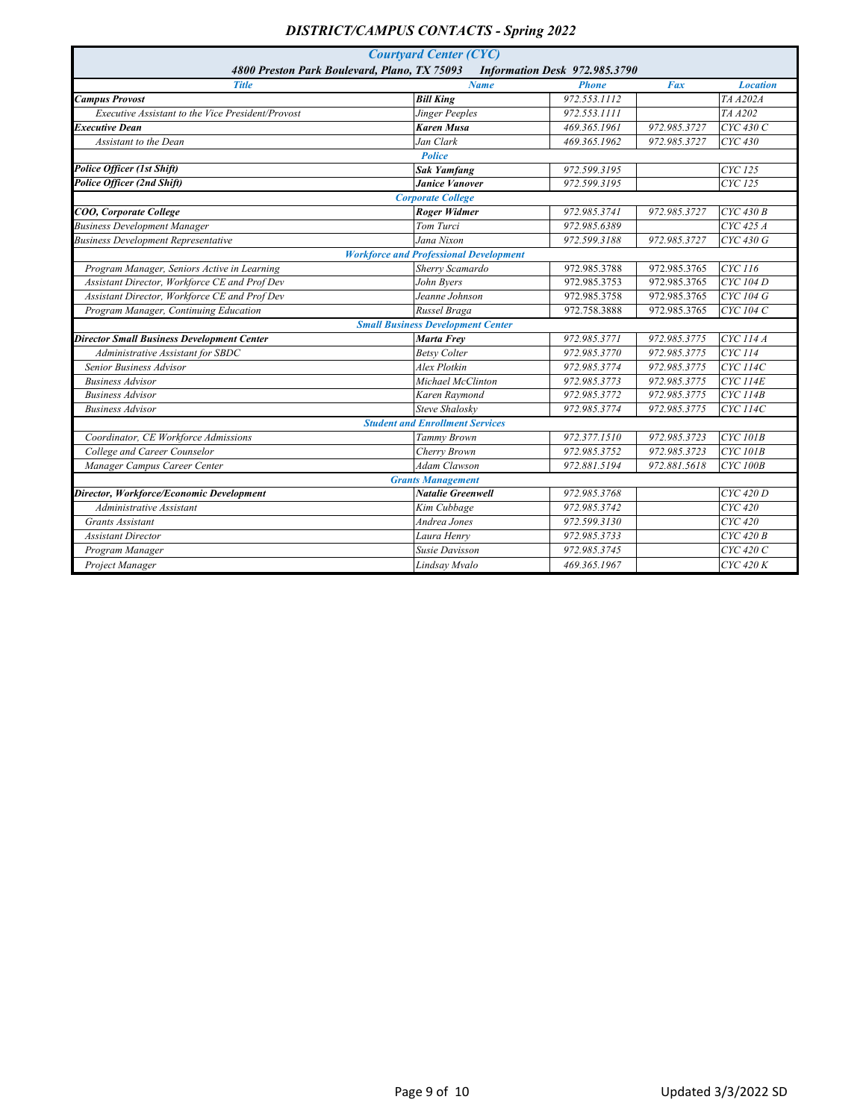| 4800 Preston Park Boulevard, Plano, TX 75093<br>Information Desk 972.985.3790<br><b>Title</b><br><b>Name</b><br><b>Phone</b><br>Fax<br><b>Location</b><br><b>Campus Provost</b><br><b>Bill King</b><br>972.553.1112<br>TA A202A<br>Executive Assistant to the Vice President/Provost<br>Jinger Peeples<br>972.553.1111<br>TA A202<br>972.985.3727<br><b>Karen Musa</b><br>469.365.1961<br>CYC 430 C<br>Executive Dean<br>Jan Clark<br>CYC 430<br>Assistant to the Dean<br>469.365.1962<br>972.985.3727<br><b>Police</b><br>Police Officer (1st Shift)<br>CYC 125<br>972.599.3195<br><b>Sak Yamfang</b><br><b>Police Officer (2nd Shift)</b><br><b>Janice Vanover</b><br>972.599.3195<br>CYC 125<br><b>Corporate College</b><br>COO, Corporate College<br><b>Roger Widmer</b><br>972.985.3741<br>972.985.3727<br>$CYC$ 430 B<br><b>Business Development Manager</b><br>Tom Turci<br>972.985.6389<br>CYC 425 A<br><b>Business Development Representative</b><br>972.985.3727<br>CYC 430 G<br>Jana Nixon<br>972.599.3188<br><b>Workforce and Professional Development</b><br>Program Manager, Seniors Active in Learning<br>CYC 116<br>Sherry Scamardo<br>972.985.3788<br>972.985.3765<br>Assistant Director, Workforce CE and Prof Dev<br>$\overline{CYC}$ 104 D<br>John Byers<br>972.985.3753<br>972.985.3765<br>Assistant Director, Workforce CE and Prof Dev<br>972.985.3765<br>CYC 104 G<br>Jeanne Johnson<br>972.985.3758<br>Program Manager, Continuing Education<br>Russel Braga<br>972.758.3888<br>972.985.3765<br>CYC 104 C<br><b>Small Business Development Center</b><br><b>Director Small Business Development Center</b><br>CYC 114 A<br>Marta Frey<br>972.985.3771<br>972.985.3775<br>CYC 114<br>972.985.3770<br>972.985.3775<br>Administrative Assistant for SBDC<br><b>Betsy Colter</b><br>Senior Business Advisor<br>972.985.3775<br><b>CYC</b> 114C<br>Alex Plotkin<br>972.985.3774<br>972.985.3773<br>972.985.3775<br><b>CYC</b> 114E<br><b>Business Advisor</b><br>Michael McClinton<br>Karen Raymond<br>972.985.3772<br>972.985.3775<br><b>CYC</b> 114B<br><b>Business Advisor</b><br><b>Steve Shalosky</b><br>972.985.3774<br>972.985.3775<br><b>CYC</b> 114C<br><b>Business Advisor</b><br><b>Student and Enrollment Services</b><br>Coordinator, CE Workforce Admissions<br>972.985.3723<br><b>CYC</b> 101B<br><b>Tammy Brown</b><br>972.377.1510<br>College and Career Counselor<br>972.985.3723<br><b>CYC</b> 101B<br>Cherry Brown<br>972.985.3752<br>Manager Campus Career Center<br><b>Adam Clawson</b><br>972.881.5194<br>972.881.5618<br><b>CYC</b> 100B<br><b>Grants Management</b><br>Director, Workforce/Economic Development<br>CYC 420 D<br><b>Natalie Greenwell</b><br>972.985.3768<br>CYC 420<br>Kim Cubbage<br>972.985.3742<br>Administrative Assistant<br>CYC 420<br>Andrea Jones<br>972.599.3130<br>Grants Assistant<br>$CYC$ 420 B<br>972.985.3733<br><b>Assistant Director</b><br>Laura Henry |                               |  |  |
|---------------------------------------------------------------------------------------------------------------------------------------------------------------------------------------------------------------------------------------------------------------------------------------------------------------------------------------------------------------------------------------------------------------------------------------------------------------------------------------------------------------------------------------------------------------------------------------------------------------------------------------------------------------------------------------------------------------------------------------------------------------------------------------------------------------------------------------------------------------------------------------------------------------------------------------------------------------------------------------------------------------------------------------------------------------------------------------------------------------------------------------------------------------------------------------------------------------------------------------------------------------------------------------------------------------------------------------------------------------------------------------------------------------------------------------------------------------------------------------------------------------------------------------------------------------------------------------------------------------------------------------------------------------------------------------------------------------------------------------------------------------------------------------------------------------------------------------------------------------------------------------------------------------------------------------------------------------------------------------------------------------------------------------------------------------------------------------------------------------------------------------------------------------------------------------------------------------------------------------------------------------------------------------------------------------------------------------------------------------------------------------------------------------------------------------------------------------------------------------------------------------------------------------------------------------------------------------------------------------------------------------------------------------------------------------------------------------------------------------------------------------------------------------------------------------------------------------------------------------------------------------------------------------------------------------|-------------------------------|--|--|
|                                                                                                                                                                                                                                                                                                                                                                                                                                                                                                                                                                                                                                                                                                                                                                                                                                                                                                                                                                                                                                                                                                                                                                                                                                                                                                                                                                                                                                                                                                                                                                                                                                                                                                                                                                                                                                                                                                                                                                                                                                                                                                                                                                                                                                                                                                                                                                                                                                                                                                                                                                                                                                                                                                                                                                                                                                                                                                                                       | <b>Courtyard Center (CYC)</b> |  |  |
|                                                                                                                                                                                                                                                                                                                                                                                                                                                                                                                                                                                                                                                                                                                                                                                                                                                                                                                                                                                                                                                                                                                                                                                                                                                                                                                                                                                                                                                                                                                                                                                                                                                                                                                                                                                                                                                                                                                                                                                                                                                                                                                                                                                                                                                                                                                                                                                                                                                                                                                                                                                                                                                                                                                                                                                                                                                                                                                                       |                               |  |  |
|                                                                                                                                                                                                                                                                                                                                                                                                                                                                                                                                                                                                                                                                                                                                                                                                                                                                                                                                                                                                                                                                                                                                                                                                                                                                                                                                                                                                                                                                                                                                                                                                                                                                                                                                                                                                                                                                                                                                                                                                                                                                                                                                                                                                                                                                                                                                                                                                                                                                                                                                                                                                                                                                                                                                                                                                                                                                                                                                       |                               |  |  |
|                                                                                                                                                                                                                                                                                                                                                                                                                                                                                                                                                                                                                                                                                                                                                                                                                                                                                                                                                                                                                                                                                                                                                                                                                                                                                                                                                                                                                                                                                                                                                                                                                                                                                                                                                                                                                                                                                                                                                                                                                                                                                                                                                                                                                                                                                                                                                                                                                                                                                                                                                                                                                                                                                                                                                                                                                                                                                                                                       |                               |  |  |
|                                                                                                                                                                                                                                                                                                                                                                                                                                                                                                                                                                                                                                                                                                                                                                                                                                                                                                                                                                                                                                                                                                                                                                                                                                                                                                                                                                                                                                                                                                                                                                                                                                                                                                                                                                                                                                                                                                                                                                                                                                                                                                                                                                                                                                                                                                                                                                                                                                                                                                                                                                                                                                                                                                                                                                                                                                                                                                                                       |                               |  |  |
|                                                                                                                                                                                                                                                                                                                                                                                                                                                                                                                                                                                                                                                                                                                                                                                                                                                                                                                                                                                                                                                                                                                                                                                                                                                                                                                                                                                                                                                                                                                                                                                                                                                                                                                                                                                                                                                                                                                                                                                                                                                                                                                                                                                                                                                                                                                                                                                                                                                                                                                                                                                                                                                                                                                                                                                                                                                                                                                                       |                               |  |  |
|                                                                                                                                                                                                                                                                                                                                                                                                                                                                                                                                                                                                                                                                                                                                                                                                                                                                                                                                                                                                                                                                                                                                                                                                                                                                                                                                                                                                                                                                                                                                                                                                                                                                                                                                                                                                                                                                                                                                                                                                                                                                                                                                                                                                                                                                                                                                                                                                                                                                                                                                                                                                                                                                                                                                                                                                                                                                                                                                       |                               |  |  |
|                                                                                                                                                                                                                                                                                                                                                                                                                                                                                                                                                                                                                                                                                                                                                                                                                                                                                                                                                                                                                                                                                                                                                                                                                                                                                                                                                                                                                                                                                                                                                                                                                                                                                                                                                                                                                                                                                                                                                                                                                                                                                                                                                                                                                                                                                                                                                                                                                                                                                                                                                                                                                                                                                                                                                                                                                                                                                                                                       |                               |  |  |
|                                                                                                                                                                                                                                                                                                                                                                                                                                                                                                                                                                                                                                                                                                                                                                                                                                                                                                                                                                                                                                                                                                                                                                                                                                                                                                                                                                                                                                                                                                                                                                                                                                                                                                                                                                                                                                                                                                                                                                                                                                                                                                                                                                                                                                                                                                                                                                                                                                                                                                                                                                                                                                                                                                                                                                                                                                                                                                                                       |                               |  |  |
|                                                                                                                                                                                                                                                                                                                                                                                                                                                                                                                                                                                                                                                                                                                                                                                                                                                                                                                                                                                                                                                                                                                                                                                                                                                                                                                                                                                                                                                                                                                                                                                                                                                                                                                                                                                                                                                                                                                                                                                                                                                                                                                                                                                                                                                                                                                                                                                                                                                                                                                                                                                                                                                                                                                                                                                                                                                                                                                                       |                               |  |  |
|                                                                                                                                                                                                                                                                                                                                                                                                                                                                                                                                                                                                                                                                                                                                                                                                                                                                                                                                                                                                                                                                                                                                                                                                                                                                                                                                                                                                                                                                                                                                                                                                                                                                                                                                                                                                                                                                                                                                                                                                                                                                                                                                                                                                                                                                                                                                                                                                                                                                                                                                                                                                                                                                                                                                                                                                                                                                                                                                       |                               |  |  |
|                                                                                                                                                                                                                                                                                                                                                                                                                                                                                                                                                                                                                                                                                                                                                                                                                                                                                                                                                                                                                                                                                                                                                                                                                                                                                                                                                                                                                                                                                                                                                                                                                                                                                                                                                                                                                                                                                                                                                                                                                                                                                                                                                                                                                                                                                                                                                                                                                                                                                                                                                                                                                                                                                                                                                                                                                                                                                                                                       |                               |  |  |
|                                                                                                                                                                                                                                                                                                                                                                                                                                                                                                                                                                                                                                                                                                                                                                                                                                                                                                                                                                                                                                                                                                                                                                                                                                                                                                                                                                                                                                                                                                                                                                                                                                                                                                                                                                                                                                                                                                                                                                                                                                                                                                                                                                                                                                                                                                                                                                                                                                                                                                                                                                                                                                                                                                                                                                                                                                                                                                                                       |                               |  |  |
|                                                                                                                                                                                                                                                                                                                                                                                                                                                                                                                                                                                                                                                                                                                                                                                                                                                                                                                                                                                                                                                                                                                                                                                                                                                                                                                                                                                                                                                                                                                                                                                                                                                                                                                                                                                                                                                                                                                                                                                                                                                                                                                                                                                                                                                                                                                                                                                                                                                                                                                                                                                                                                                                                                                                                                                                                                                                                                                                       |                               |  |  |
|                                                                                                                                                                                                                                                                                                                                                                                                                                                                                                                                                                                                                                                                                                                                                                                                                                                                                                                                                                                                                                                                                                                                                                                                                                                                                                                                                                                                                                                                                                                                                                                                                                                                                                                                                                                                                                                                                                                                                                                                                                                                                                                                                                                                                                                                                                                                                                                                                                                                                                                                                                                                                                                                                                                                                                                                                                                                                                                                       |                               |  |  |
|                                                                                                                                                                                                                                                                                                                                                                                                                                                                                                                                                                                                                                                                                                                                                                                                                                                                                                                                                                                                                                                                                                                                                                                                                                                                                                                                                                                                                                                                                                                                                                                                                                                                                                                                                                                                                                                                                                                                                                                                                                                                                                                                                                                                                                                                                                                                                                                                                                                                                                                                                                                                                                                                                                                                                                                                                                                                                                                                       |                               |  |  |
|                                                                                                                                                                                                                                                                                                                                                                                                                                                                                                                                                                                                                                                                                                                                                                                                                                                                                                                                                                                                                                                                                                                                                                                                                                                                                                                                                                                                                                                                                                                                                                                                                                                                                                                                                                                                                                                                                                                                                                                                                                                                                                                                                                                                                                                                                                                                                                                                                                                                                                                                                                                                                                                                                                                                                                                                                                                                                                                                       |                               |  |  |
|                                                                                                                                                                                                                                                                                                                                                                                                                                                                                                                                                                                                                                                                                                                                                                                                                                                                                                                                                                                                                                                                                                                                                                                                                                                                                                                                                                                                                                                                                                                                                                                                                                                                                                                                                                                                                                                                                                                                                                                                                                                                                                                                                                                                                                                                                                                                                                                                                                                                                                                                                                                                                                                                                                                                                                                                                                                                                                                                       |                               |  |  |
|                                                                                                                                                                                                                                                                                                                                                                                                                                                                                                                                                                                                                                                                                                                                                                                                                                                                                                                                                                                                                                                                                                                                                                                                                                                                                                                                                                                                                                                                                                                                                                                                                                                                                                                                                                                                                                                                                                                                                                                                                                                                                                                                                                                                                                                                                                                                                                                                                                                                                                                                                                                                                                                                                                                                                                                                                                                                                                                                       |                               |  |  |
|                                                                                                                                                                                                                                                                                                                                                                                                                                                                                                                                                                                                                                                                                                                                                                                                                                                                                                                                                                                                                                                                                                                                                                                                                                                                                                                                                                                                                                                                                                                                                                                                                                                                                                                                                                                                                                                                                                                                                                                                                                                                                                                                                                                                                                                                                                                                                                                                                                                                                                                                                                                                                                                                                                                                                                                                                                                                                                                                       |                               |  |  |
|                                                                                                                                                                                                                                                                                                                                                                                                                                                                                                                                                                                                                                                                                                                                                                                                                                                                                                                                                                                                                                                                                                                                                                                                                                                                                                                                                                                                                                                                                                                                                                                                                                                                                                                                                                                                                                                                                                                                                                                                                                                                                                                                                                                                                                                                                                                                                                                                                                                                                                                                                                                                                                                                                                                                                                                                                                                                                                                                       |                               |  |  |
|                                                                                                                                                                                                                                                                                                                                                                                                                                                                                                                                                                                                                                                                                                                                                                                                                                                                                                                                                                                                                                                                                                                                                                                                                                                                                                                                                                                                                                                                                                                                                                                                                                                                                                                                                                                                                                                                                                                                                                                                                                                                                                                                                                                                                                                                                                                                                                                                                                                                                                                                                                                                                                                                                                                                                                                                                                                                                                                                       |                               |  |  |
|                                                                                                                                                                                                                                                                                                                                                                                                                                                                                                                                                                                                                                                                                                                                                                                                                                                                                                                                                                                                                                                                                                                                                                                                                                                                                                                                                                                                                                                                                                                                                                                                                                                                                                                                                                                                                                                                                                                                                                                                                                                                                                                                                                                                                                                                                                                                                                                                                                                                                                                                                                                                                                                                                                                                                                                                                                                                                                                                       |                               |  |  |
|                                                                                                                                                                                                                                                                                                                                                                                                                                                                                                                                                                                                                                                                                                                                                                                                                                                                                                                                                                                                                                                                                                                                                                                                                                                                                                                                                                                                                                                                                                                                                                                                                                                                                                                                                                                                                                                                                                                                                                                                                                                                                                                                                                                                                                                                                                                                                                                                                                                                                                                                                                                                                                                                                                                                                                                                                                                                                                                                       |                               |  |  |
|                                                                                                                                                                                                                                                                                                                                                                                                                                                                                                                                                                                                                                                                                                                                                                                                                                                                                                                                                                                                                                                                                                                                                                                                                                                                                                                                                                                                                                                                                                                                                                                                                                                                                                                                                                                                                                                                                                                                                                                                                                                                                                                                                                                                                                                                                                                                                                                                                                                                                                                                                                                                                                                                                                                                                                                                                                                                                                                                       |                               |  |  |
|                                                                                                                                                                                                                                                                                                                                                                                                                                                                                                                                                                                                                                                                                                                                                                                                                                                                                                                                                                                                                                                                                                                                                                                                                                                                                                                                                                                                                                                                                                                                                                                                                                                                                                                                                                                                                                                                                                                                                                                                                                                                                                                                                                                                                                                                                                                                                                                                                                                                                                                                                                                                                                                                                                                                                                                                                                                                                                                                       |                               |  |  |
|                                                                                                                                                                                                                                                                                                                                                                                                                                                                                                                                                                                                                                                                                                                                                                                                                                                                                                                                                                                                                                                                                                                                                                                                                                                                                                                                                                                                                                                                                                                                                                                                                                                                                                                                                                                                                                                                                                                                                                                                                                                                                                                                                                                                                                                                                                                                                                                                                                                                                                                                                                                                                                                                                                                                                                                                                                                                                                                                       |                               |  |  |
|                                                                                                                                                                                                                                                                                                                                                                                                                                                                                                                                                                                                                                                                                                                                                                                                                                                                                                                                                                                                                                                                                                                                                                                                                                                                                                                                                                                                                                                                                                                                                                                                                                                                                                                                                                                                                                                                                                                                                                                                                                                                                                                                                                                                                                                                                                                                                                                                                                                                                                                                                                                                                                                                                                                                                                                                                                                                                                                                       |                               |  |  |
|                                                                                                                                                                                                                                                                                                                                                                                                                                                                                                                                                                                                                                                                                                                                                                                                                                                                                                                                                                                                                                                                                                                                                                                                                                                                                                                                                                                                                                                                                                                                                                                                                                                                                                                                                                                                                                                                                                                                                                                                                                                                                                                                                                                                                                                                                                                                                                                                                                                                                                                                                                                                                                                                                                                                                                                                                                                                                                                                       |                               |  |  |
|                                                                                                                                                                                                                                                                                                                                                                                                                                                                                                                                                                                                                                                                                                                                                                                                                                                                                                                                                                                                                                                                                                                                                                                                                                                                                                                                                                                                                                                                                                                                                                                                                                                                                                                                                                                                                                                                                                                                                                                                                                                                                                                                                                                                                                                                                                                                                                                                                                                                                                                                                                                                                                                                                                                                                                                                                                                                                                                                       |                               |  |  |
|                                                                                                                                                                                                                                                                                                                                                                                                                                                                                                                                                                                                                                                                                                                                                                                                                                                                                                                                                                                                                                                                                                                                                                                                                                                                                                                                                                                                                                                                                                                                                                                                                                                                                                                                                                                                                                                                                                                                                                                                                                                                                                                                                                                                                                                                                                                                                                                                                                                                                                                                                                                                                                                                                                                                                                                                                                                                                                                                       |                               |  |  |
|                                                                                                                                                                                                                                                                                                                                                                                                                                                                                                                                                                                                                                                                                                                                                                                                                                                                                                                                                                                                                                                                                                                                                                                                                                                                                                                                                                                                                                                                                                                                                                                                                                                                                                                                                                                                                                                                                                                                                                                                                                                                                                                                                                                                                                                                                                                                                                                                                                                                                                                                                                                                                                                                                                                                                                                                                                                                                                                                       |                               |  |  |
|                                                                                                                                                                                                                                                                                                                                                                                                                                                                                                                                                                                                                                                                                                                                                                                                                                                                                                                                                                                                                                                                                                                                                                                                                                                                                                                                                                                                                                                                                                                                                                                                                                                                                                                                                                                                                                                                                                                                                                                                                                                                                                                                                                                                                                                                                                                                                                                                                                                                                                                                                                                                                                                                                                                                                                                                                                                                                                                                       |                               |  |  |
|                                                                                                                                                                                                                                                                                                                                                                                                                                                                                                                                                                                                                                                                                                                                                                                                                                                                                                                                                                                                                                                                                                                                                                                                                                                                                                                                                                                                                                                                                                                                                                                                                                                                                                                                                                                                                                                                                                                                                                                                                                                                                                                                                                                                                                                                                                                                                                                                                                                                                                                                                                                                                                                                                                                                                                                                                                                                                                                                       |                               |  |  |
|                                                                                                                                                                                                                                                                                                                                                                                                                                                                                                                                                                                                                                                                                                                                                                                                                                                                                                                                                                                                                                                                                                                                                                                                                                                                                                                                                                                                                                                                                                                                                                                                                                                                                                                                                                                                                                                                                                                                                                                                                                                                                                                                                                                                                                                                                                                                                                                                                                                                                                                                                                                                                                                                                                                                                                                                                                                                                                                                       |                               |  |  |
| CYC 420 C<br>972.985.3745<br>Program Manager<br><b>Susie Davisson</b>                                                                                                                                                                                                                                                                                                                                                                                                                                                                                                                                                                                                                                                                                                                                                                                                                                                                                                                                                                                                                                                                                                                                                                                                                                                                                                                                                                                                                                                                                                                                                                                                                                                                                                                                                                                                                                                                                                                                                                                                                                                                                                                                                                                                                                                                                                                                                                                                                                                                                                                                                                                                                                                                                                                                                                                                                                                                 |                               |  |  |
| CYC 420 K<br>Project Manager<br>469.365.1967<br>Lindsay Mvalo                                                                                                                                                                                                                                                                                                                                                                                                                                                                                                                                                                                                                                                                                                                                                                                                                                                                                                                                                                                                                                                                                                                                                                                                                                                                                                                                                                                                                                                                                                                                                                                                                                                                                                                                                                                                                                                                                                                                                                                                                                                                                                                                                                                                                                                                                                                                                                                                                                                                                                                                                                                                                                                                                                                                                                                                                                                                         |                               |  |  |